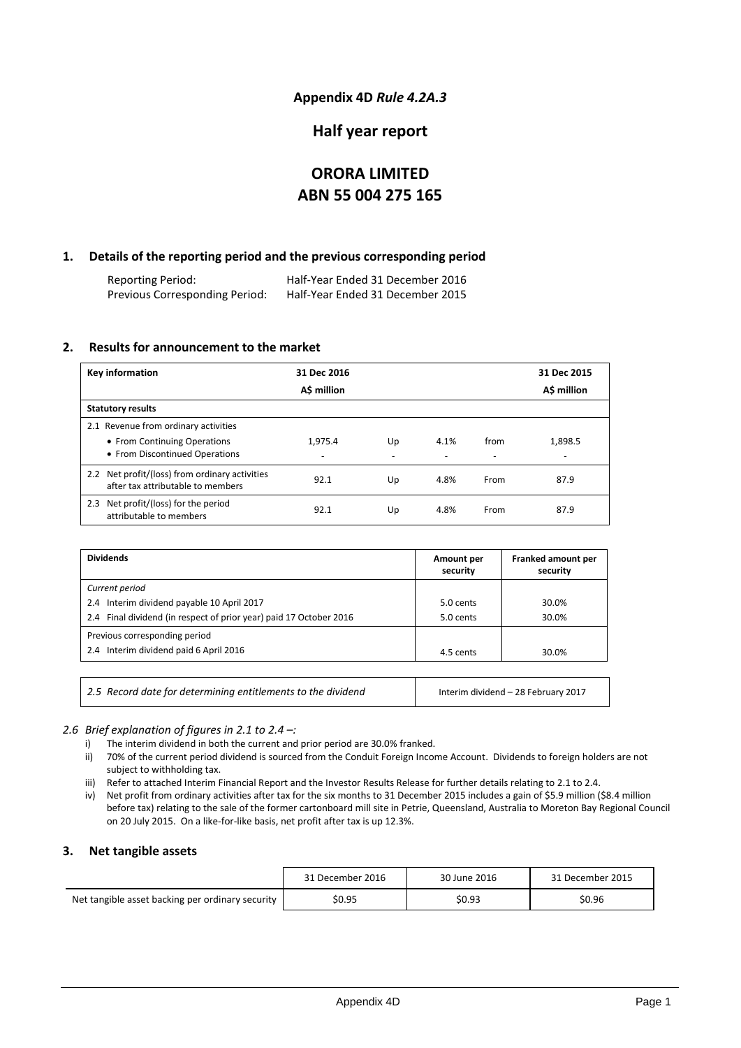### **Appendix 4D** *Rule 4.2A.3*

### **Half year report**

# **ORORA LIMITED ABN 55 004 275 165**

### **1. Details of the reporting period and the previous corresponding period**

Reporting Period: Half-Year Ended 31 December 2016 Previous Corresponding Period:

### **2. Results for announcement to the market**

| <b>Key information</b>                                                                                 | 31 Dec 2016  |    |      |                                  | 31 Dec 2015                         |
|--------------------------------------------------------------------------------------------------------|--------------|----|------|----------------------------------|-------------------------------------|
|                                                                                                        | A\$ million  |    |      |                                  | A\$ million                         |
| <b>Statutory results</b>                                                                               |              |    |      |                                  |                                     |
| 2.1 Revenue from ordinary activities<br>• From Continuing Operations<br>• From Discontinued Operations | 1.975.4<br>٠ | Up | 4.1% | from<br>$\overline{\phantom{a}}$ | 1.898.5<br>$\overline{\phantom{a}}$ |
| 2.2 Net profit/(loss) from ordinary activities<br>after tax attributable to members                    | 92.1         | Up | 4.8% | From                             | 87.9                                |
| 2.3 Net profit/(loss) for the period<br>attributable to members                                        | 92.1         | Up | 4.8% | From                             | 87.9                                |

| <b>Dividends</b>                                                   | Amount per<br>security | Franked amount per<br>security |
|--------------------------------------------------------------------|------------------------|--------------------------------|
| Current period                                                     |                        |                                |
| 2.4 Interim dividend payable 10 April 2017                         | 5.0 cents              | 30.0%                          |
| 2.4 Final dividend (in respect of prior year) paid 17 October 2016 | 5.0 cents              | 30.0%                          |
| Previous corresponding period                                      |                        |                                |
| 2.4 Interim dividend paid 6 April 2016                             | 4.5 cents              | 30.0%                          |
|                                                                    |                        |                                |

*2.5 Record date for determining entitlements to the dividend* Interim dividend – 28 February 2017

### *2.6 Brief explanation of figures in 2.1 to 2.4 –:*

- i) The interim dividend in both the current and prior period are 30.0% franked.
- ii) 70% of the current period dividend is sourced from the Conduit Foreign Income Account. Dividends to foreign holders are not subject to withholding tax.
- iii) Refer to attached Interim Financial Report and the Investor Results Release for further details relating to 2.1 to 2.4.
- iv) Net profit from ordinary activities after tax for the six months to 31 December 2015 includes a gain of \$5.9 million (\$8.4 million before tax) relating to the sale of the former cartonboard mill site in Petrie, Queensland, Australia to Moreton Bay Regional Council on 20 July 2015. On a like-for-like basis, net profit after tax is up 12.3%.

### **3. Net tangible assets**

|                                                  | 31 December 2016 | 30 June 2016 | 31 December 2015 |
|--------------------------------------------------|------------------|--------------|------------------|
| Net tangible asset backing per ordinary security | \$0.95           | \$0.93       | \$0.96           |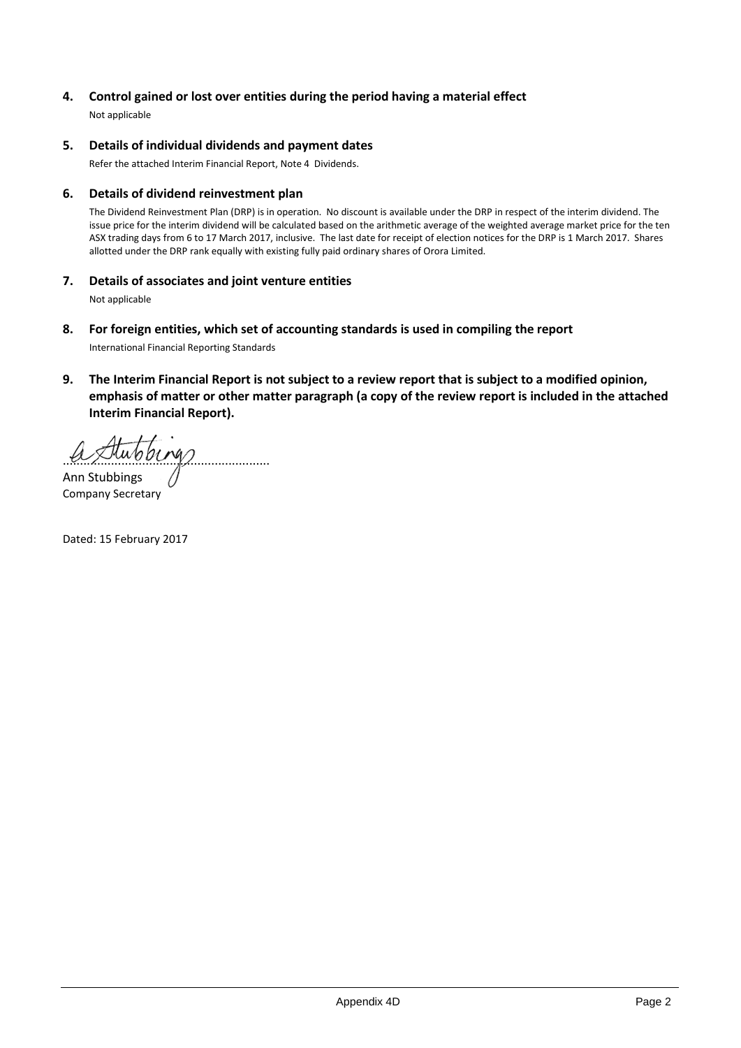### **4. Control gained or lost over entities during the period having a material effect**

Not applicable

### **5. Details of individual dividends and payment dates**

Refer the attached Interim Financial Report, Note 4 Dividends.

### **6. Details of dividend reinvestment plan**

The Dividend Reinvestment Plan (DRP) is in operation. No discount is available under the DRP in respect of the interim dividend. The issue price for the interim dividend will be calculated based on the arithmetic average of the weighted average market price for the ten ASX trading days from 6 to 17 March 2017, inclusive. The last date for receipt of election notices for the DRP is 1 March 2017. Shares allotted under the DRP rank equally with existing fully paid ordinary shares of Orora Limited.

### **7. Details of associates and joint venture entities**

Not applicable

- **8. For foreign entities, which set of accounting standards is used in compiling the report** International Financial Reporting Standards
- **9. The Interim Financial Report is not subject to a review report that is subject to a modified opinion, emphasis of matter or other matter paragraph (a copy of the review report is included in the attached Interim Financial Report).**

............................................................

Ann Stubbings Company Secretary

Dated: 15 February 2017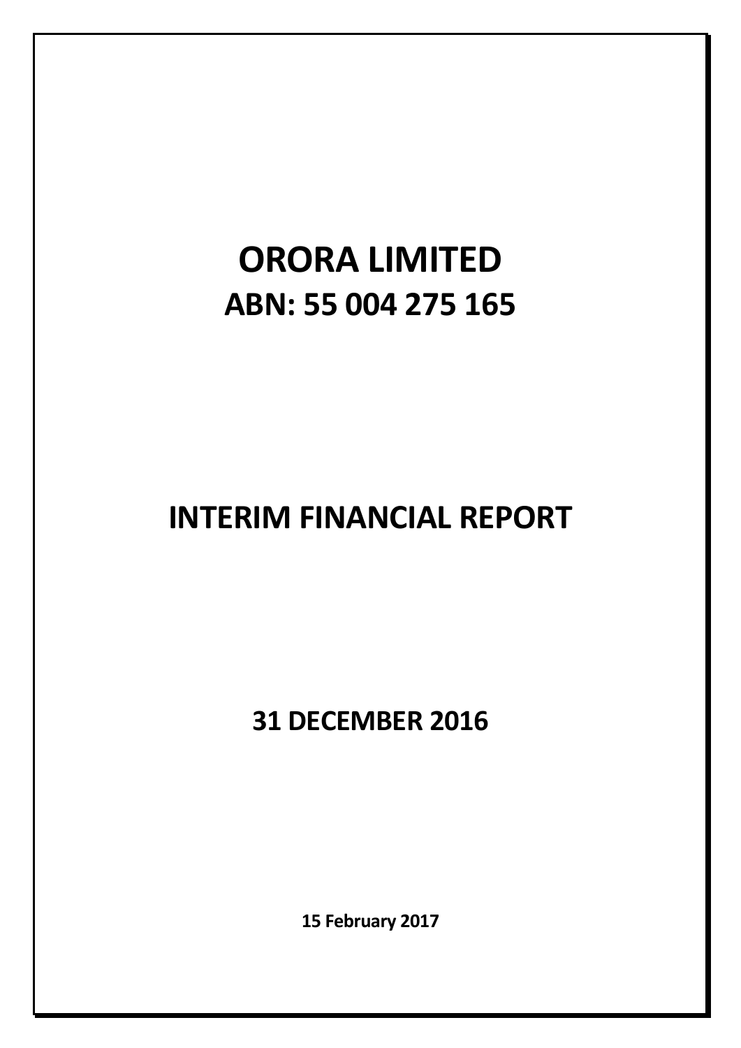# **ORORA LIMITED ABN: 55 004 275 165**

# **INTERIM FINANCIAL REPORT**

**31 DECEMBER 2016**

**15 February 2017**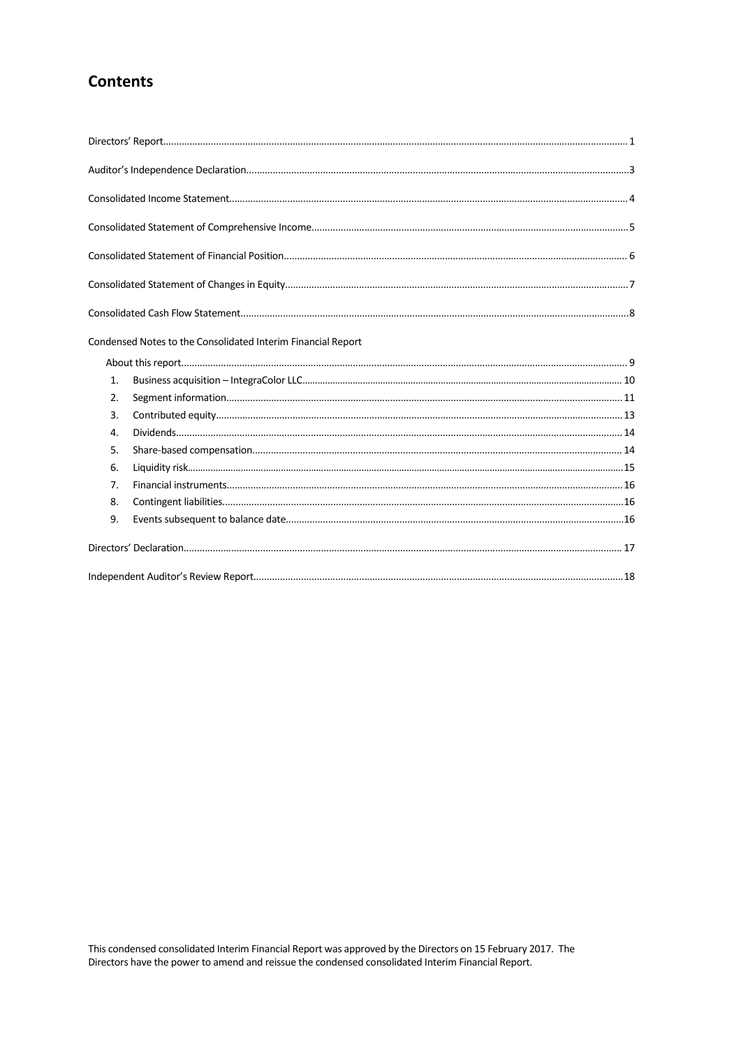# **Contents**

|              | Condensed Notes to the Consolidated Interim Financial Report |  |
|--------------|--------------------------------------------------------------|--|
|              |                                                              |  |
| 1.           |                                                              |  |
| 2.           |                                                              |  |
| 3.           |                                                              |  |
| $\mathbf{4}$ |                                                              |  |
| 5.           |                                                              |  |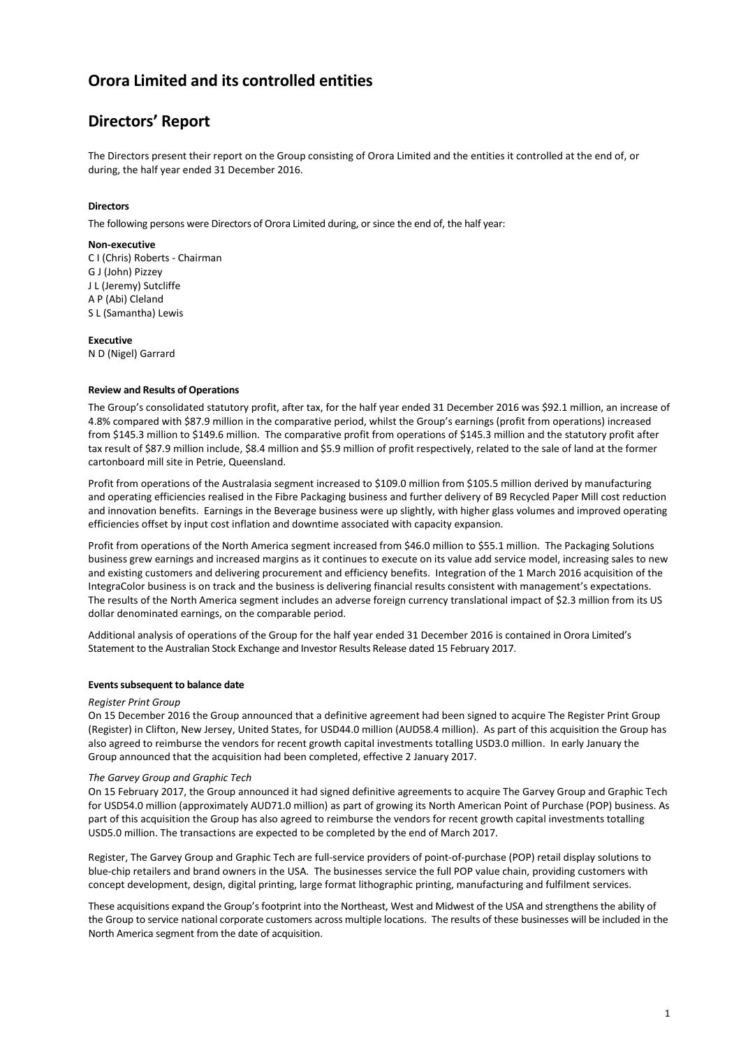# **Directors' Report**

The Directors present their report on the Group consisting of Orora Limited and the entities it controlled at the end of, or during, the half year ended 31 December 2016.

### **Directors**

The following persons were Directors of Orora Limited during, or since the end of, the half year:

### **Non-executive**

C I (Chris) Roberts - Chairman G J (John) Pizzey J L (Jeremy) Sutcliffe A P (Abi) Cleland S L (Samantha) Lewis

#### **Executive**

N D (Nigel) Garrard

### **Review and Results of Operations**

The Group's consolidated statutory profit, after tax, for the half year ended 31 December 2016 was \$92.1 million, an increase of 4.8% compared with \$87.9 million in the comparative period, whilst the Group's earnings (profit from operations) increased from \$145.3 million to \$149.6 million. The comparative profit from operations of \$145.3 million and the statutory profit after tax result of \$87.9 million include, \$8.4 million and \$5.9 million of profit respectively, related to the sale of land at the former cartonboard mill site in Petrie, Queensland.

Profit from operations of the Australasia segment increased to \$109.0 million from \$105.5 million derived by manufacturing and operating efficiencies realised in the Fibre Packaging business and further delivery of B9 Recycled Paper Mill cost reduction and innovation benefits. Earnings in the Beverage business were up slightly, with higher glass volumes and improved operating efficiencies offset by input cost inflation and downtime associated with capacity expansion.

Profit from operations of the North America segment increased from \$46.0 million to \$55.1 million. The Packaging Solutions business grew earnings and increased margins as it continues to execute on its value add service model, increasing sales to new and existing customers and delivering procurement and efficiency benefits. Integration of the 1 March 2016 acquisition of the IntegraColor business is on track and the business is delivering financial results consistent with management's expectations. The results of the North America segment includes an adverse foreign currency translational impact of \$2.3 million from its US dollar denominated earnings, on the comparable period.

Additional analysis of operations of the Group for the half year ended 31 December 2016 is contained in Orora Limited's Statement to the Australian Stock Exchange and Investor Results Release dated 15 February 2017.

#### **Events subsequent to balance date**

#### *Register Print Group*

On 15 December 2016 the Group announced that a definitive agreement had been signed to acquire The Register Print Group (Register) in Clifton, New Jersey, United States, for USD44.0 million (AUD58.4 million). As part of this acquisition the Group has also agreed to reimburse the vendors for recent growth capital investments totalling USD3.0 million. In early January the Group announced that the acquisition had been completed, effective 2 January 2017.

#### *The Garvey Group and Graphic Tech*

On 15 February 2017, the Group announced it had signed definitive agreements to acquire The Garvey Group and Graphic Tech for USD54.0 million (approximately AUD71.0 million) as part of growing its North American Point of Purchase (POP) business. As part of this acquisition the Group has also agreed to reimburse the vendors for recent growth capital investments totalling USD5.0 million. The transactions are expected to be completed by the end of March 2017.

Register, The Garvey Group and Graphic Tech are full-service providers of point-of-purchase (POP) retail display solutions to blue-chip retailers and brand owners in the USA. The businesses service the full POP value chain, providing customers with concept development, design, digital printing, large format lithographic printing, manufacturing and fulfilment services.

These acquisitions expand the Group's footprint into the Northeast, West and Midwest of the USA and strengthens the ability of the Group to service national corporate customers across multiple locations. The results of these businesses will be included in the North America segment from the date of acquisition.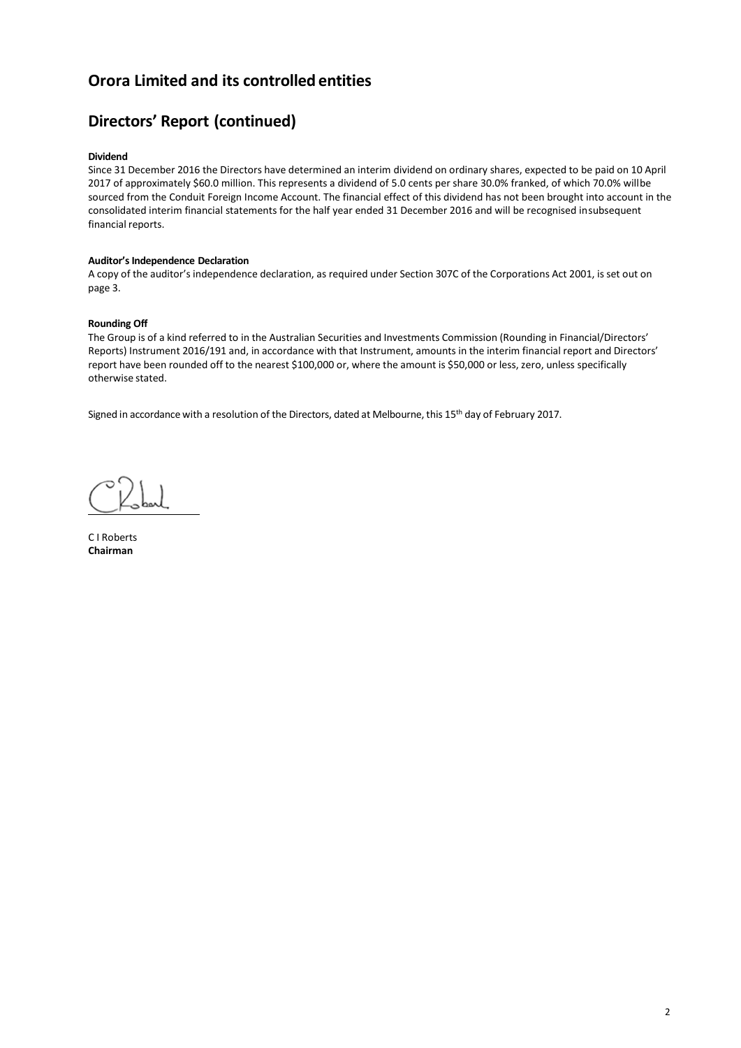# **Directors' Report (continued)**

### **Dividend**

Since 31 December 2016 the Directors have determined an interim dividend on ordinary shares, expected to be paid on 10 April 2017 of approximately \$60.0 million. This represents a dividend of 5.0 cents per share 30.0% franked, of which 70.0% willbe sourced from the Conduit Foreign Income Account. The financial effect of this dividend has not been brought into account in the consolidated interim financial statements for the half year ended 31 December 2016 and will be recognised insubsequent financial reports.

### **Auditor's Independence Declaration**

A copy of the auditor's independence declaration, as required under Section 307C of the Corporations Act 2001, is set out on page 3.

### **Rounding Off**

The Group is of a kind referred to in the Australian Securities and Investments Commission (Rounding in Financial/Directors' Reports) Instrument 2016/191 and, in accordance with that Instrument, amounts in the interim financial report and Directors' report have been rounded off to the nearest \$100,000 or, where the amount is \$50,000 or less, zero, unless specifically otherwise stated.

Signed in accordance with a resolution of the Directors, dated at Melbourne, this 15th day of February 2017.

C I Roberts **Chairman**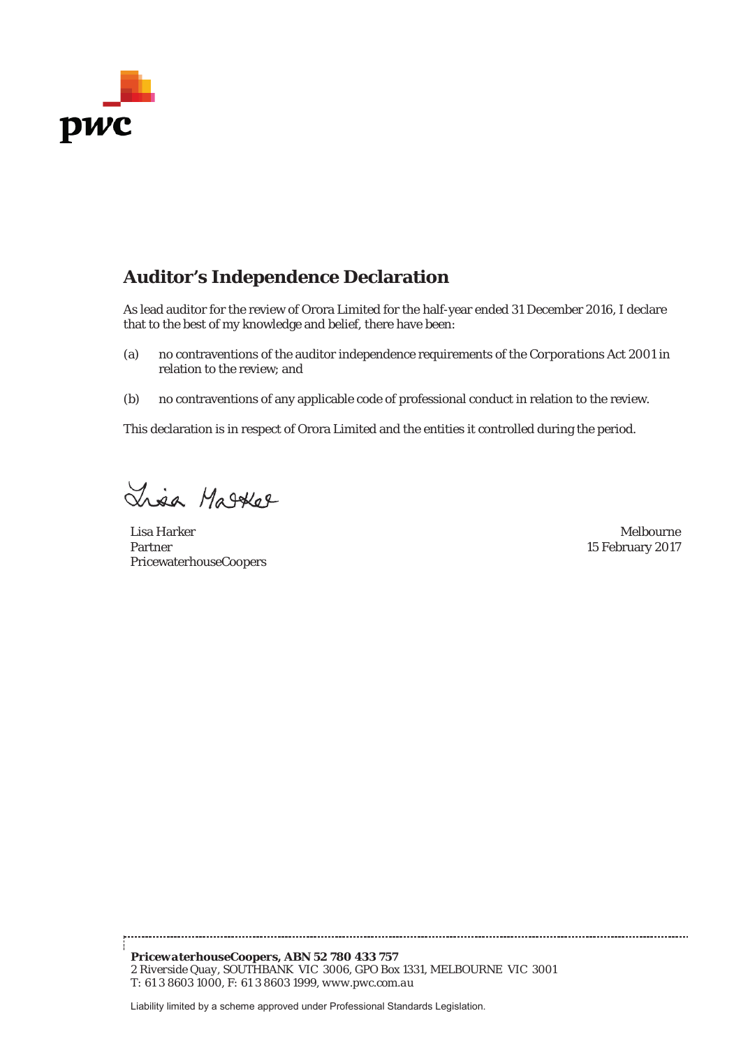

# **Auditor's Independence Declaration**

As lead auditor for the review of Orora Limited for the half-year ended 31 December 2016, I declare that to the best of my knowledge and belief, there have been:

- (a) no contraventions of the auditor independence requirements of the *Corporations Act 2001* in relation to the review; and
- (b) no contraventions of any applicable code of professional conduct in relation to the review.

This declaration is in respect of Orora Limited and the entities it controlled during the period.

Lisa Matket

Lisa Harker Melbourne Partner PricewaterhouseCoopers

15 February 2017

*PricewaterhouseCoopers, ABN 52 780 433 757 2 Riverside Quay, SOUTHBANK VIC 3006, GPO Box 1331, MELBOURNE VIC 3001 T: 61 3 8603 1000, F: 61 3 8603 1999, www.pwc.com.au*

Liability limited by a scheme approved under Professional Standards Legislation.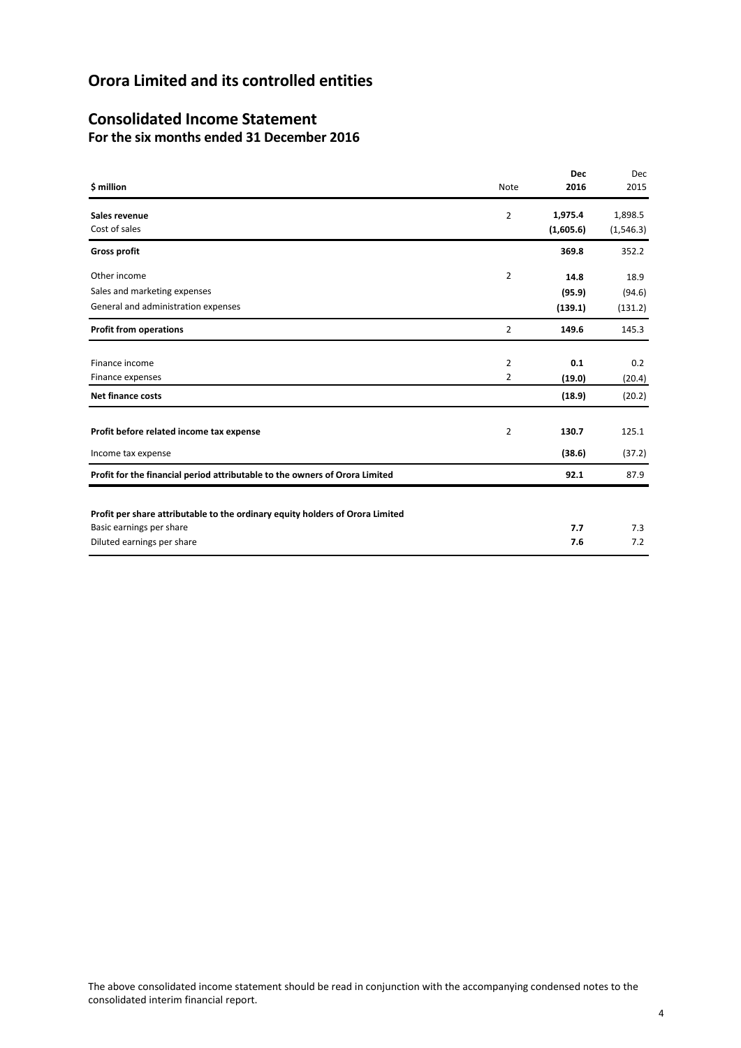# **Consolidated Income Statement For the six months ended 31 December 2016**

|                                                                               |                | <b>Dec</b> | Dec        |
|-------------------------------------------------------------------------------|----------------|------------|------------|
| \$ million                                                                    | Note           | 2016       | 2015       |
| Sales revenue                                                                 | $\overline{2}$ | 1,975.4    | 1,898.5    |
| Cost of sales                                                                 |                | (1,605.6)  | (1, 546.3) |
| <b>Gross profit</b>                                                           |                | 369.8      | 352.2      |
| Other income                                                                  | $\overline{2}$ | 14.8       | 18.9       |
| Sales and marketing expenses                                                  |                | (95.9)     | (94.6)     |
| General and administration expenses                                           |                | (139.1)    | (131.2)    |
| <b>Profit from operations</b>                                                 | 2              | 149.6      | 145.3      |
|                                                                               |                |            |            |
| Finance income                                                                | $\overline{2}$ | 0.1        | 0.2        |
| Finance expenses                                                              | 2              | (19.0)     | (20.4)     |
| <b>Net finance costs</b>                                                      |                | (18.9)     | (20.2)     |
| Profit before related income tax expense                                      | 2              | 130.7      | 125.1      |
| Income tax expense                                                            |                | (38.6)     | (37.2)     |
| Profit for the financial period attributable to the owners of Orora Limited   |                | 92.1       | 87.9       |
|                                                                               |                |            |            |
| Profit per share attributable to the ordinary equity holders of Orora Limited |                |            |            |
| Basic earnings per share                                                      |                | 7.7        | 7.3        |
| Diluted earnings per share                                                    |                | 7.6        | 7.2        |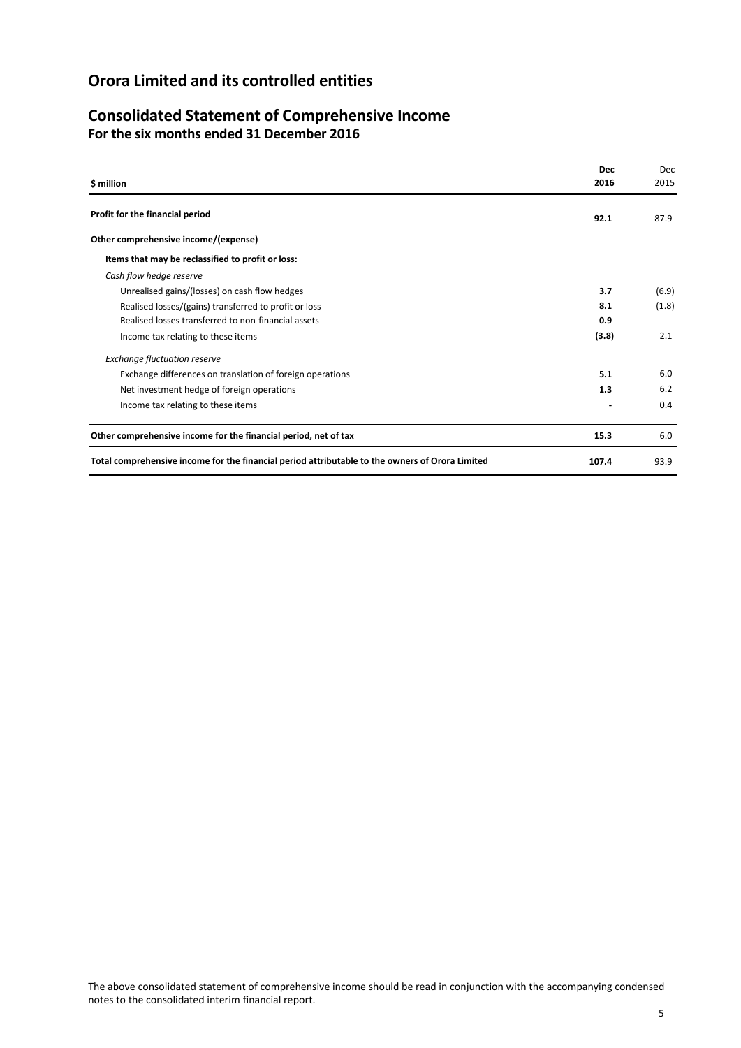### **Consolidated Statement of Comprehensive Income For the six months ended 31 December 2016**

| \$ million                                                                                      | <b>Dec</b><br>2016 | Dec<br>2015 |
|-------------------------------------------------------------------------------------------------|--------------------|-------------|
| Profit for the financial period                                                                 | 92.1               | 87.9        |
| Other comprehensive income/(expense)                                                            |                    |             |
| Items that may be reclassified to profit or loss:                                               |                    |             |
| Cash flow hedge reserve                                                                         |                    |             |
| Unrealised gains/(losses) on cash flow hedges                                                   | 3.7                | (6.9)       |
| Realised losses/(gains) transferred to profit or loss                                           | 8.1                | (1.8)       |
| Realised losses transferred to non-financial assets                                             | 0.9                |             |
| Income tax relating to these items                                                              | (3.8)              | 2.1         |
| <b>Exchange fluctuation reserve</b>                                                             |                    |             |
| Exchange differences on translation of foreign operations                                       | 5.1                | 6.0         |
| Net investment hedge of foreign operations                                                      | 1.3                | 6.2         |
| Income tax relating to these items                                                              |                    | 0.4         |
| Other comprehensive income for the financial period, net of tax                                 | 15.3               | 6.0         |
| Total comprehensive income for the financial period attributable to the owners of Orora Limited | 107.4              | 93.9        |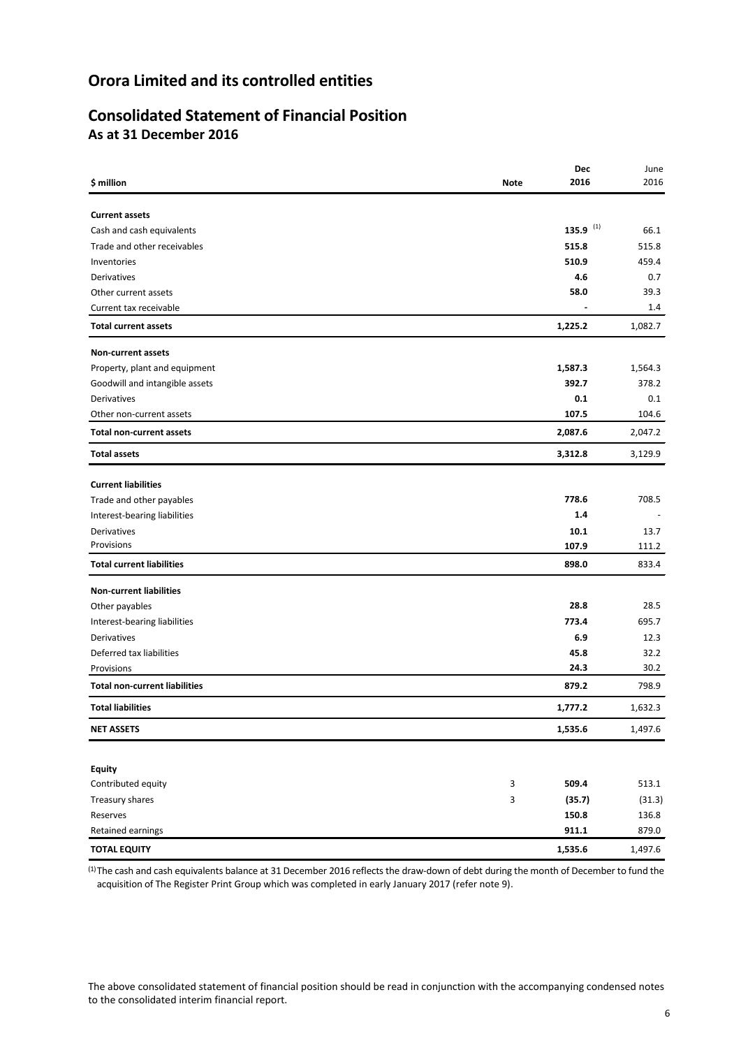# **Consolidated Statement of Financial Position As at 31 December 2016**

|                                      |             | Dec         | June    |
|--------------------------------------|-------------|-------------|---------|
| \$ million                           | <b>Note</b> | 2016        | 2016    |
|                                      |             |             |         |
| <b>Current assets</b>                |             |             |         |
| Cash and cash equivalents            |             | 135.9 $(1)$ | 66.1    |
| Trade and other receivables          |             | 515.8       | 515.8   |
| Inventories                          |             | 510.9       | 459.4   |
| Derivatives                          |             | 4.6         | 0.7     |
| Other current assets                 |             | 58.0        | 39.3    |
| Current tax receivable               |             |             | 1.4     |
| <b>Total current assets</b>          |             | 1,225.2     | 1,082.7 |
| Non-current assets                   |             |             |         |
| Property, plant and equipment        |             | 1,587.3     | 1,564.3 |
| Goodwill and intangible assets       |             | 392.7       | 378.2   |
| Derivatives                          |             | 0.1         | 0.1     |
| Other non-current assets             |             | 107.5       | 104.6   |
| <b>Total non-current assets</b>      |             | 2,087.6     | 2,047.2 |
| <b>Total assets</b>                  |             | 3,312.8     | 3,129.9 |
| <b>Current liabilities</b>           |             |             |         |
| Trade and other payables             |             | 778.6       | 708.5   |
| Interest-bearing liabilities         |             | 1.4         |         |
| Derivatives                          |             | 10.1        | 13.7    |
| Provisions                           |             | 107.9       | 111.2   |
| <b>Total current liabilities</b>     |             | 898.0       | 833.4   |
| <b>Non-current liabilities</b>       |             |             |         |
| Other payables                       |             | 28.8        | 28.5    |
| Interest-bearing liabilities         |             | 773.4       | 695.7   |
| Derivatives                          |             | 6.9         | 12.3    |
| Deferred tax liabilities             |             | 45.8        | 32.2    |
| Provisions                           |             | 24.3        | 30.2    |
| <b>Total non-current liabilities</b> |             | 879.2       | 798.9   |
| <b>Total liabilities</b>             |             | 1,777.2     | 1,632.3 |
| <b>NET ASSETS</b>                    |             | 1,535.6     | 1,497.6 |
|                                      |             |             |         |
| <b>Equity</b>                        |             |             |         |
| Contributed equity                   | 3           | 509.4       | 513.1   |
| Treasury shares                      | 3           | (35.7)      | (31.3)  |
| Reserves                             |             | 150.8       | 136.8   |
| Retained earnings                    |             | 911.1       | 879.0   |
| <b>TOTAL EQUITY</b>                  |             | 1,535.6     | 1,497.6 |

<sup>(1)</sup>The cash and cash equivalents balance at 31 December 2016 reflects the draw-down of debt during the month of December to fund the acquisition of The Register Print Group which was completed in early January 2017 (refer note 9).

The above consolidated statement of financial position should be read in conjunction with the accompanying condensed notes to the consolidated interim financial report.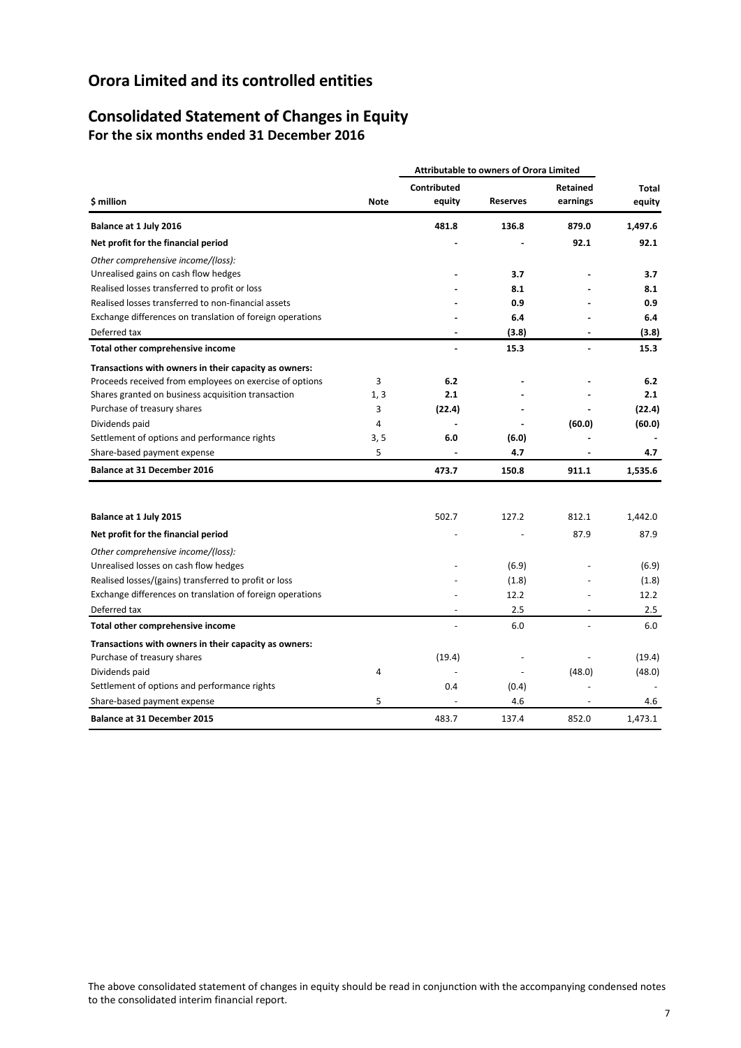### **Consolidated Statement of Changes in Equity For the six months ended 31 December 2016**

|                                                           |             | <b>Attributable to owners of Orora Limited</b> |                          |                      |                 |
|-----------------------------------------------------------|-------------|------------------------------------------------|--------------------------|----------------------|-----------------|
| \$ million                                                | <b>Note</b> | Contributed<br>equity                          | <b>Reserves</b>          | Retained<br>earnings | Total<br>equity |
| Balance at 1 July 2016                                    |             | 481.8                                          | 136.8                    | 879.0                | 1,497.6         |
| Net profit for the financial period                       |             |                                                |                          | 92.1                 | 92.1            |
| Other comprehensive income/(loss):                        |             |                                                |                          |                      |                 |
| Unrealised gains on cash flow hedges                      |             |                                                | 3.7                      |                      | 3.7             |
| Realised losses transferred to profit or loss             |             |                                                | 8.1                      |                      | 8.1             |
| Realised losses transferred to non-financial assets       |             |                                                | 0.9                      |                      | 0.9             |
| Exchange differences on translation of foreign operations |             |                                                | 6.4                      |                      | 6.4             |
| Deferred tax                                              |             |                                                | (3.8)                    |                      | (3.8)           |
| Total other comprehensive income                          |             |                                                | 15.3                     | $\blacksquare$       | 15.3            |
| Transactions with owners in their capacity as owners:     |             |                                                |                          |                      |                 |
| Proceeds received from employees on exercise of options   | 3           | 6.2                                            |                          |                      | 6.2             |
| Shares granted on business acquisition transaction        | 1, 3        | 2.1                                            |                          |                      | 2.1             |
| Purchase of treasury shares                               | 3           | (22.4)                                         |                          |                      | (22.4)          |
| Dividends paid                                            | 4           | $\overline{a}$                                 |                          | (60.0)               | (60.0)          |
| Settlement of options and performance rights              | 3, 5        | 6.0                                            | (6.0)                    |                      |                 |
| Share-based payment expense                               | 5           |                                                | 4.7                      |                      | 4.7             |
| <b>Balance at 31 December 2016</b>                        |             | 473.7                                          | 150.8                    | 911.1                | 1,535.6         |
|                                                           |             |                                                |                          |                      |                 |
| Balance at 1 July 2015                                    |             | 502.7                                          | 127.2                    | 812.1                | 1,442.0         |
| Net profit for the financial period                       |             |                                                |                          | 87.9                 | 87.9            |
| Other comprehensive income/(loss):                        |             |                                                |                          |                      |                 |
| Unrealised losses on cash flow hedges                     |             |                                                | (6.9)                    |                      | (6.9)           |
| Realised losses/(gains) transferred to profit or loss     |             |                                                | (1.8)                    |                      | (1.8)           |
| Exchange differences on translation of foreign operations |             |                                                | 12.2                     |                      | 12.2            |
| Deferred tax                                              |             |                                                | 2.5                      |                      | 2.5             |
| Total other comprehensive income                          |             |                                                | 6.0                      |                      | 6.0             |
| Transactions with owners in their capacity as owners:     |             |                                                |                          |                      |                 |
| Purchase of treasury shares                               |             | (19.4)                                         |                          |                      | (19.4)          |
| Dividends paid                                            | 4           |                                                | $\overline{\phantom{a}}$ | (48.0)               | (48.0)          |
| Settlement of options and performance rights              |             | 0.4                                            | (0.4)                    |                      |                 |
| Share-based payment expense                               | 5           |                                                | 4.6                      |                      | 4.6             |
| <b>Balance at 31 December 2015</b>                        |             | 483.7                                          | 137.4                    | 852.0                | 1.473.1         |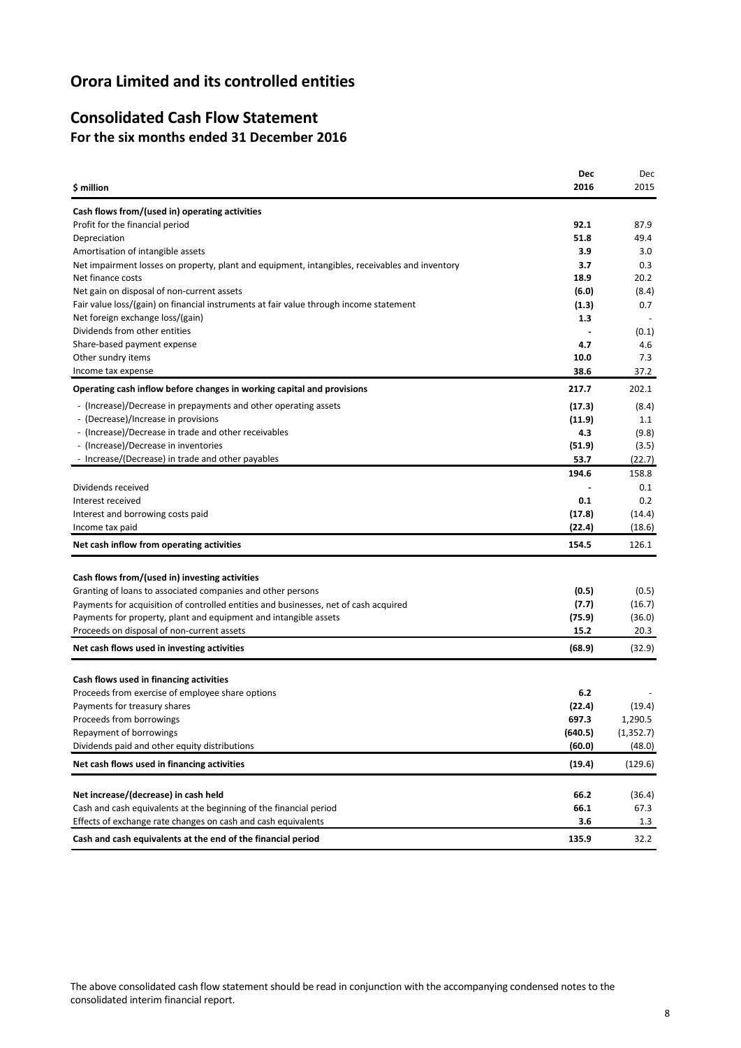# **Consolidated Cash Flow Statement For the six months ended 31 December 2016**

|                                                                                                | Dec              | Dec        |
|------------------------------------------------------------------------------------------------|------------------|------------|
| \$ million                                                                                     | 2016             | 2015       |
| Cash flows from/(used in) operating activities                                                 |                  |            |
| Profit for the financial period                                                                | 92.1             | 87.9       |
| Depreciation                                                                                   | 51.8             | 49.4       |
| Amortisation of intangible assets                                                              | 3.9              | 3.0        |
| Net impairment losses on property, plant and equipment, intangibles, receivables and inventory | 3.7              | 0.3        |
| Net finance costs                                                                              | 18.9             | 20.2       |
| Net gain on disposal of non-current assets                                                     | (6.0)            | (8.4)      |
| Fair value loss/(gain) on financial instruments at fair value through income statement         | (1.3)            | 0.7        |
| Net foreign exchange loss/(gain)                                                               | 1.3              |            |
| Dividends from other entities                                                                  |                  | (0.1)      |
| Share-based payment expense                                                                    | 4.7              | 4.6        |
| Other sundry items                                                                             | 10.0             | 7.3        |
| Income tax expense                                                                             | 38.6             | 37.2       |
| Operating cash inflow before changes in working capital and provisions                         | 217.7            | 202.1      |
| - (Increase)/Decrease in prepayments and other operating assets                                | (17.3)           | (8.4)      |
| - (Decrease)/Increase in provisions                                                            | (11.9)           | 1.1        |
| - (Increase)/Decrease in trade and other receivables                                           | 4.3              | (9.8)      |
| - (Increase)/Decrease in inventories                                                           | (51.9)           | (3.5)      |
| - Increase/(Decrease) in trade and other payables                                              | 53.7             | (22.7)     |
|                                                                                                | 194.6            | 158.8      |
| Dividends received                                                                             |                  | 0.1        |
| Interest received                                                                              | 0.1              | 0.2        |
| Interest and borrowing costs paid                                                              |                  | (14.4)     |
| Income tax paid                                                                                | (17.8)<br>(22.4) | (18.6)     |
| Net cash inflow from operating activities                                                      | 154.5            | 126.1      |
|                                                                                                |                  |            |
| Cash flows from/(used in) investing activities                                                 |                  |            |
| Granting of loans to associated companies and other persons                                    | (0.5)            | (0.5)      |
| Payments for acquisition of controlled entities and businesses, net of cash acquired           | (7.7)            | (16.7)     |
| Payments for property, plant and equipment and intangible assets                               | (75.9)           | (36.0)     |
| Proceeds on disposal of non-current assets                                                     | 15.2             | 20.3       |
| Net cash flows used in investing activities                                                    | (68.9)           | (32.9)     |
|                                                                                                |                  |            |
| Cash flows used in financing activities                                                        |                  |            |
| Proceeds from exercise of employee share options                                               | 6.2              |            |
| Payments for treasury shares                                                                   | (22.4)           | (19.4)     |
| Proceeds from borrowings                                                                       | 697.3            | 1,290.5    |
| Repayment of borrowings                                                                        | (640.5)          | (1, 352.7) |
| Dividends paid and other equity distributions                                                  | (60.0)           | (48.0)     |
| Net cash flows used in financing activities                                                    | (19.4)           | (129.6)    |
|                                                                                                |                  |            |
| Net increase/(decrease) in cash held                                                           | 66.2             | (36.4)     |
| Cash and cash equivalents at the beginning of the financial period                             | 66.1             | 67.3       |
| Effects of exchange rate changes on cash and cash equivalents                                  | 3.6              | 1.3        |
| Cash and cash equivalents at the end of the financial period                                   | 135.9            | 32.2       |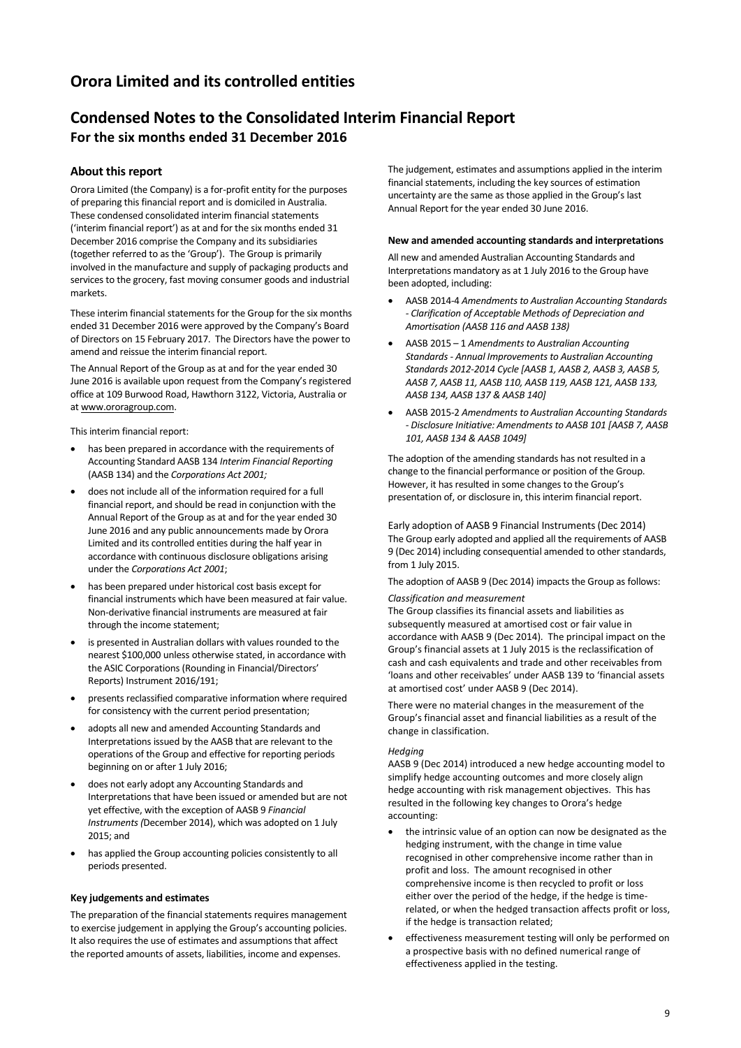# **Condensed Notes to the Consolidated Interim Financial Report For the six months ended 31 December 2016**

### **About this report**

Orora Limited (the Company) is a for-profit entity for the purposes of preparing this financial report and is domiciled in Australia. These condensed consolidated interim financial statements ('interim financial report') as at and for the six months ended 31 December 2016 comprise the Company and its subsidiaries (together referred to as the 'Group'). The Group is primarily involved in the manufacture and supply of packaging products and services to the grocery, fast moving consumer goods and industrial markets.

These interim financial statements for the Group for the six months ended 31 December 2016 were approved by the Company's Board of Directors on 15 February 2017. The Directors have the power to amend and reissue the interim financial report.

The Annual Report of the Group as at and for the year ended 30 June 2016 is available upon request from the Company's registered office at 109 Burwood Road, Hawthorn 3122, Victoria, Australia or a[t www.ororagroup.com.](http://www.ororagroup.com/)

This interim financial report:

- has been prepared in accordance with the requirements of Accounting Standard AASB 134 *Interim Financial Reporting* (AASB 134) and the *Corporations Act 2001;*
- does not include all of the information required for a full financial report, and should be read in conjunction with the Annual Report of the Group as at and for the year ended 30 June 2016 and any public announcements made by Orora Limited and its controlled entities during the half year in accordance with continuous disclosure obligations arising under the *Corporations Act 2001*;
- has been prepared under historical cost basis except for financial instruments which have been measured at fair value. Non-derivative financial instruments are measured at fair through the income statement;
- is presented in Australian dollars with values rounded to the nearest \$100,000 unless otherwise stated, in accordance with the ASIC Corporations (Rounding in Financial/Directors' Reports) Instrument 2016/191;
- presents reclassified comparative information where required for consistency with the current period presentation;
- adopts all new and amended Accounting Standards and Interpretations issued by the AASB that are relevant to the operations of the Group and effective for reporting periods beginning on or after 1 July 2016;
- does not early adopt any Accounting Standards and Interpretations that have been issued or amended but are not yet effective, with the exception of AASB 9 *Financial Instruments (*December 2014), which was adopted on 1 July 2015; and
- has applied the Group accounting policies consistently to all periods presented.

#### **Key judgements and estimates**

The preparation of the financial statements requires management to exercise judgement in applying the Group's accounting policies. It also requires the use of estimates and assumptions that affect the reported amounts of assets, liabilities, income and expenses.

The judgement, estimates and assumptions applied in the interim financial statements, including the key sources of estimation uncertainty are the same as those applied in the Group's last Annual Report for the year ended 30 June 2016.

#### **New and amended accounting standards and interpretations**

All new and amended Australian Accounting Standards and Interpretations mandatory as at 1 July 2016 to the Group have been adopted, including:

- AASB 2014-4 *Amendments to Australian Accounting Standards - Clarification of Acceptable Methods of Depreciation and Amortisation (AASB 116 and AASB 138)*
- AASB 2015 1 *Amendments to Australian Accounting Standards - Annual Improvements to Australian Accounting Standards 2012-2014 Cycle [AASB 1, AASB 2, AASB 3, AASB 5, AASB 7, AASB 11, AASB 110, AASB 119, AASB 121, AASB 133, AASB 134, AASB 137 & AASB 140]*
- AASB 2015-2 *Amendments to Australian Accounting Standards - Disclosure Initiative: Amendments to AASB 101 [AASB 7, AASB 101, AASB 134 & AASB 1049]*

The adoption of the amending standards has not resulted in a change to the financial performance or position of the Group. However, it has resulted in some changes to the Group's presentation of, or disclosure in, this interim financial report.

Early adoption of AASB 9 Financial Instruments (Dec 2014) The Group early adopted and applied all the requirements of AASB 9 (Dec 2014) including consequential amended to other standards, from 1 July 2015.

The adoption of AASB 9 (Dec 2014) impacts the Group as follows:

#### *Classification and measurement*

The Group classifies its financial assets and liabilities as subsequently measured at amortised cost or fair value in accordance with AASB 9 (Dec 2014). The principal impact on the Group's financial assets at 1 July 2015 is the reclassification of cash and cash equivalents and trade and other receivables from 'loans and other receivables' under AASB 139 to 'financial assets at amortised cost' under AASB 9 (Dec 2014).

There were no material changes in the measurement of the Group's financial asset and financial liabilities as a result of the change in classification.

#### *Hedging*

AASB 9 (Dec 2014) introduced a new hedge accounting model to simplify hedge accounting outcomes and more closely align hedge accounting with risk management objectives. This has resulted in the following key changes to Orora's hedge accounting:

- the intrinsic value of an option can now be designated as the hedging instrument, with the change in time value recognised in other comprehensive income rather than in profit and loss. The amount recognised in other comprehensive income is then recycled to profit or loss either over the period of the hedge, if the hedge is timerelated, or when the hedged transaction affects profit or loss, if the hedge is transaction related;
- effectiveness measurement testing will only be performed on a prospective basis with no defined numerical range of effectiveness applied in the testing.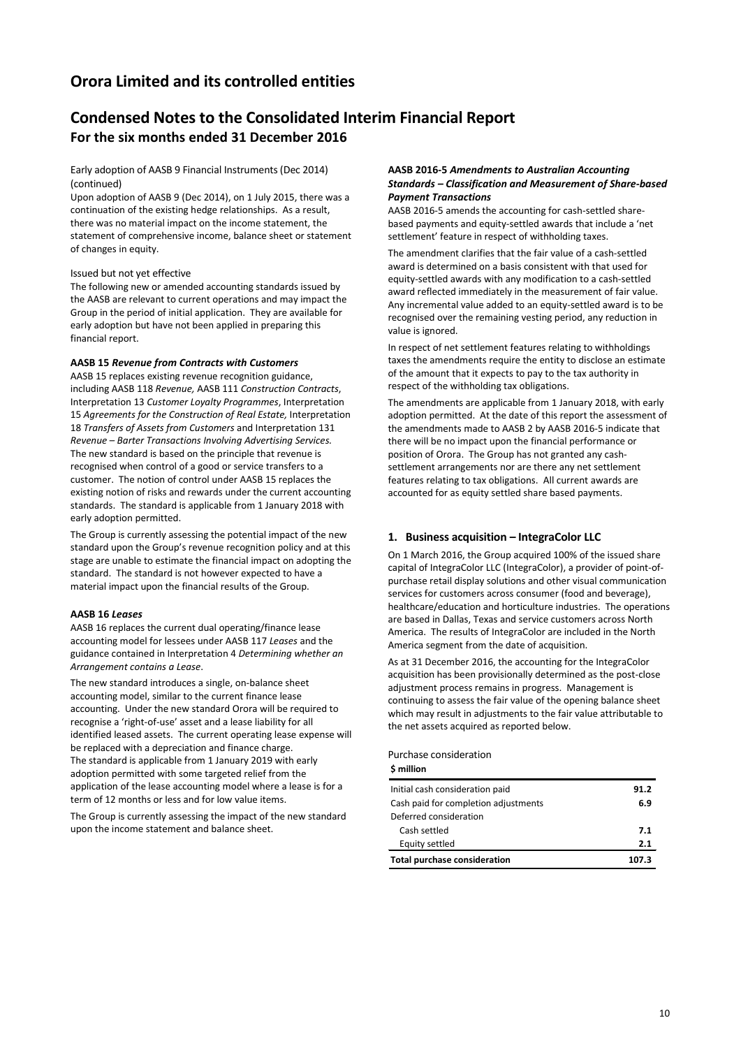# **Condensed Notes to the Consolidated Interim Financial Report For the six months ended 31 December 2016**

Early adoption of AASB 9 Financial Instruments (Dec 2014) (continued)

Upon adoption of AASB 9 (Dec 2014), on 1 July 2015, there was a continuation of the existing hedge relationships. As a result, there was no material impact on the income statement, the statement of comprehensive income, balance sheet or statement of changes in equity.

Issued but not yet effective

The following new or amended accounting standards issued by the AASB are relevant to current operations and may impact the Group in the period of initial application. They are available for early adoption but have not been applied in preparing this financial report.

### **AASB 15** *Revenue from Contracts with Customers*

AASB 15 replaces existing revenue recognition guidance, including AASB 118 *Revenue,* AASB 111 *Construction Contracts*, Interpretation 13 *Customer Loyalty Programmes*, Interpretation 15 *Agreements for the Construction of Real Estate,* Interpretation 18 *Transfers of Assets from Customers* and Interpretation 131 *Revenue – Barter Transactions Involving Advertising Services.*  The new standard is based on the principle that revenue is recognised when control of a good or service transfers to a customer. The notion of control under AASB 15 replaces the existing notion of risks and rewards under the current accounting standards. The standard is applicable from 1 January 2018 with early adoption permitted.

The Group is currently assessing the potential impact of the new standard upon the Group's revenue recognition policy and at this stage are unable to estimate the financial impact on adopting the standard. The standard is not however expected to have a material impact upon the financial results of the Group.

#### **AASB 16** *Leases*

AASB 16 replaces the current dual operating/finance lease accounting model for lessees under AASB 117 *Leases* and the guidance contained in Interpretation 4 *Determining whether an Arrangement contains a Lease*.

The new standard introduces a single, on-balance sheet accounting model, similar to the current finance lease accounting. Under the new standard Orora will be required to recognise a 'right-of-use' asset and a lease liability for all identified leased assets. The current operating lease expense will be replaced with a depreciation and finance charge. The standard is applicable from 1 January 2019 with early adoption permitted with some targeted relief from the application of the lease accounting model where a lease is for a term of 12 months or less and for low value items.

The Group is currently assessing the impact of the new standard upon the income statement and balance sheet.

### **AASB 2016-5** *Amendments to Australian Accounting Standards – Classification and Measurement of Share-based Payment Transactions*

AASB 2016-5 amends the accounting for cash-settled sharebased payments and equity-settled awards that include a 'net settlement' feature in respect of withholding taxes.

The amendment clarifies that the fair value of a cash-settled award is determined on a basis consistent with that used for equity-settled awards with any modification to a cash-settled award reflected immediately in the measurement of fair value. Any incremental value added to an equity-settled award is to be recognised over the remaining vesting period, any reduction in value is ignored.

In respect of net settlement features relating to withholdings taxes the amendments require the entity to disclose an estimate of the amount that it expects to pay to the tax authority in respect of the withholding tax obligations.

The amendments are applicable from 1 January 2018, with early adoption permitted. At the date of this report the assessment of the amendments made to AASB 2 by AASB 2016-5 indicate that there will be no impact upon the financial performance or position of Orora. The Group has not granted any cashsettlement arrangements nor are there any net settlement features relating to tax obligations. All current awards are accounted for as equity settled share based payments.

### **1. Business acquisition – IntegraColor LLC**

On 1 March 2016, the Group acquired 100% of the issued share capital of IntegraColor LLC (IntegraColor), a provider of point-ofpurchase retail display solutions and other visual communication services for customers across consumer (food and beverage), healthcare/education and horticulture industries. The operations are based in Dallas, Texas and service customers across North America. The results of IntegraColor are included in the North America segment from the date of acquisition.

As at 31 December 2016, the accounting for the IntegraColor acquisition has been provisionally determined as the post-close adjustment process remains in progress. Management is continuing to assess the fair value of the opening balance sheet which may result in adjustments to the fair value attributable to the net assets acquired as reported below.

#### Purchase consideration

**\$ million**

| Initial cash consideration paid      | 91.2  |
|--------------------------------------|-------|
| Cash paid for completion adjustments | 6.9   |
| Deferred consideration               |       |
| Cash settled                         | 7.1   |
| Equity settled                       | 2.1   |
| <b>Total purchase consideration</b>  | 107.3 |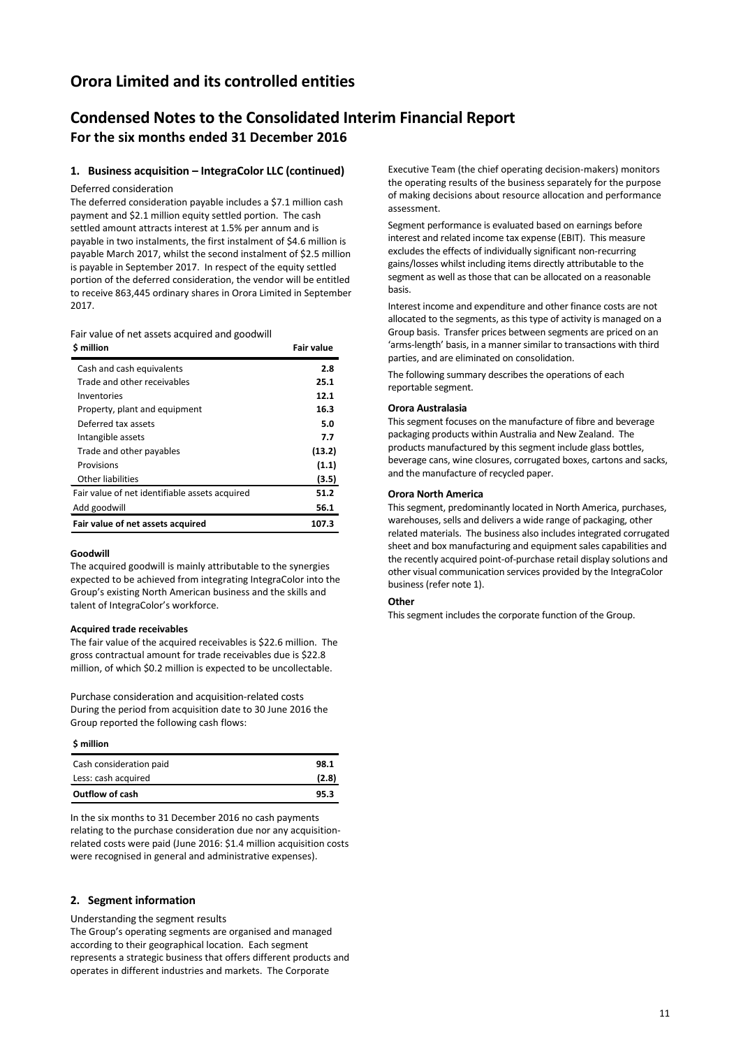### **Condensed Notes to the Consolidated Interim Financial Report For the six months ended 31 December 2016**

### **1. Business acquisition – IntegraColor LLC (continued)**

Deferred consideration

The deferred consideration payable includes a \$7.1 million cash payment and \$2.1 million equity settled portion. The cash settled amount attracts interest at 1.5% per annum and is payable in two instalments, the first instalment of \$4.6 million is payable March 2017, whilst the second instalment of \$2.5 million is payable in September 2017. In respect of the equity settled portion of the deferred consideration, the vendor will be entitled to receive 863,445 ordinary shares in Orora Limited in September 2017.

Fair value of net assets acquired and goodwill

| S million                                      | Fair value |
|------------------------------------------------|------------|
| Cash and cash equivalents                      | 2.8        |
| Trade and other receivables                    | 25.1       |
| Inventories                                    | 12.1       |
| Property, plant and equipment                  | 16.3       |
| Deferred tax assets                            | 5.0        |
| Intangible assets                              | 7.7        |
| Trade and other payables                       | (13.2)     |
| Provisions                                     | (1.1)      |
| Other liabilities                              | (3.5)      |
| Fair value of net identifiable assets acquired | 51.2       |
| Add goodwill                                   | 56.1       |
| Fair value of net assets acquired              | 107.3      |

#### **Goodwill**

The acquired goodwill is mainly attributable to the synergies expected to be achieved from integrating IntegraColor into the Group's existing North American business and the skills and talent of IntegraColor's workforce.

#### **Acquired trade receivables**

The fair value of the acquired receivables is \$22.6 million. The gross contractual amount for trade receivables due is \$22.8 million, of which \$0.2 million is expected to be uncollectable.

Purchase consideration and acquisition-related costs During the period from acquisition date to 30 June 2016 the Group reported the following cash flows:

**\$ million**

| Cash consideration paid | 98.1  |
|-------------------------|-------|
| Less: cash acquired     | (2.8) |
| Outflow of cash         | 95.3  |

In the six months to 31 December 2016 no cash payments relating to the purchase consideration due nor any acquisitionrelated costs were paid (June 2016: \$1.4 million acquisition costs were recognised in general and administrative expenses).

#### **2. Segment information**

Understanding the segment results

The Group's operating segments are organised and managed according to their geographical location. Each segment represents a strategic business that offers different products and operates in different industries and markets. The Corporate

Executive Team (the chief operating decision-makers) monitors the operating results of the business separately for the purpose of making decisions about resource allocation and performance assessment.

Segment performance is evaluated based on earnings before interest and related income tax expense (EBIT). This measure excludes the effects of individually significant non-recurring gains/losses whilst including items directly attributable to the segment as well as those that can be allocated on a reasonable basis.

Interest income and expenditure and other finance costs are not allocated to the segments, as this type of activity is managed on a Group basis. Transfer prices between segments are priced on an 'arms-length' basis, in a manner similar to transactions with third parties, and are eliminated on consolidation.

The following summary describes the operations of each reportable segment.

#### **Orora Australasia**

This segment focuses on the manufacture of fibre and beverage packaging products within Australia and New Zealand. The products manufactured by this segment include glass bottles, beverage cans, wine closures, corrugated boxes, cartons and sacks, and the manufacture of recycled paper.

### **Orora North America**

This segment, predominantly located in North America, purchases, warehouses, sells and delivers a wide range of packaging, other related materials. The business also includes integrated corrugated sheet and box manufacturing and equipment sales capabilities and the recently acquired point-of-purchase retail display solutions and other visual communication services provided by the IntegraColor business (refer note 1).

#### **Other**

This segment includes the corporate function of the Group.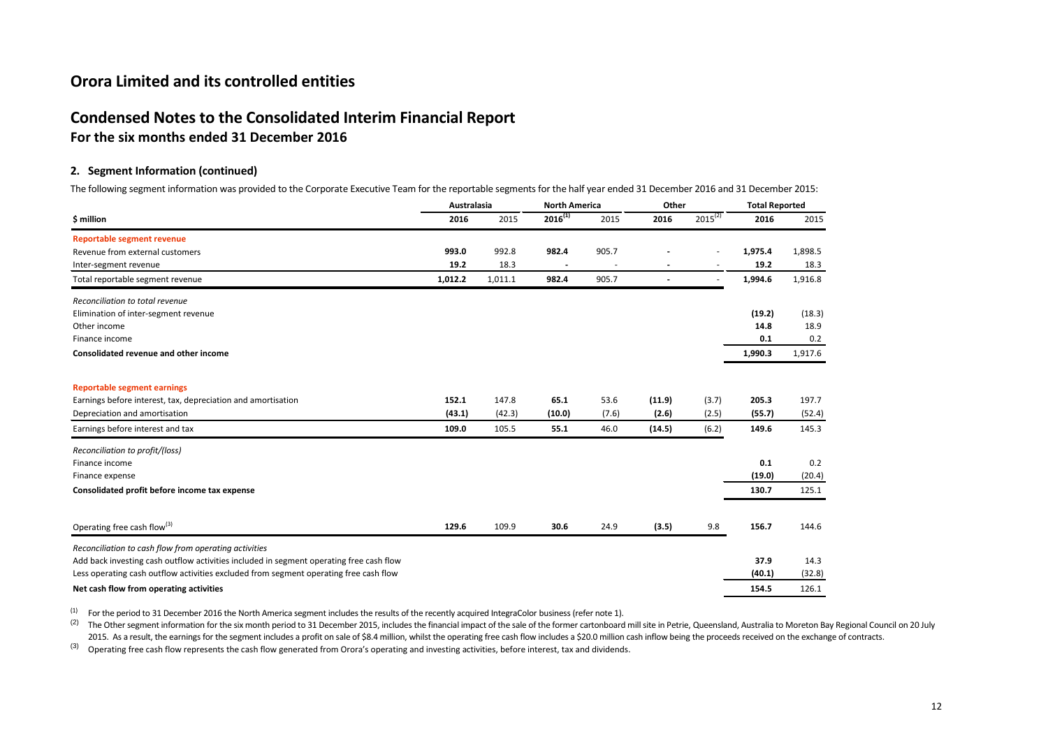### **Condensed Notes to the Consolidated Interim Financial Report**

**For the six months ended 31 December 2016**

### **2. Segment Information (continued)**

The following segment information was provided to the Corporate Executive Team for the reportable segments for the half year ended 31 December 2016 and 31 December 2015:

|                                                                                         | Australasia |         | <b>North America</b> |       | Other          |              | <b>Total Reported</b> |         |
|-----------------------------------------------------------------------------------------|-------------|---------|----------------------|-------|----------------|--------------|-----------------------|---------|
| \$ million                                                                              | 2016        | 2015    | $2016^{(1)}$         | 2015  | 2016           | $2015^{(2)}$ | 2016                  | 2015    |
| <b>Reportable segment revenue</b>                                                       |             |         |                      |       |                |              |                       |         |
| Revenue from external customers                                                         | 993.0       | 992.8   | 982.4                | 905.7 |                | ٠            | 1,975.4               | 1,898.5 |
| Inter-segment revenue                                                                   | 19.2        | 18.3    |                      |       |                | ٠            | 19.2                  | 18.3    |
| Total reportable segment revenue                                                        | 1,012.2     | 1,011.1 | 982.4                | 905.7 | $\overline{a}$ | ٠            | 1,994.6               | 1,916.8 |
| Reconciliation to total revenue                                                         |             |         |                      |       |                |              |                       |         |
| Elimination of inter-segment revenue                                                    |             |         |                      |       |                |              | (19.2)                | (18.3)  |
| Other income                                                                            |             |         |                      |       |                |              | 14.8                  | 18.9    |
| Finance income                                                                          |             |         |                      |       |                |              | 0.1                   | 0.2     |
| Consolidated revenue and other income                                                   |             |         |                      |       |                |              | 1,990.3               | 1,917.6 |
| <b>Reportable segment earnings</b>                                                      |             |         |                      |       |                |              |                       |         |
| Earnings before interest, tax, depreciation and amortisation                            | 152.1       | 147.8   | 65.1                 | 53.6  | (11.9)         | (3.7)        | 205.3                 | 197.7   |
| Depreciation and amortisation                                                           | (43.1)      | (42.3)  | (10.0)               | (7.6) | (2.6)          | (2.5)        | (55.7)                | (52.4)  |
| Earnings before interest and tax                                                        | 109.0       | 105.5   | 55.1                 | 46.0  | (14.5)         | (6.2)        | 149.6                 | 145.3   |
| Reconciliation to profit/(loss)                                                         |             |         |                      |       |                |              |                       |         |
| Finance income                                                                          |             |         |                      |       |                |              | 0.1                   | 0.2     |
| Finance expense                                                                         |             |         |                      |       |                |              | (19.0)                | (20.4)  |
| Consolidated profit before income tax expense                                           |             |         |                      |       |                |              | 130.7                 | 125.1   |
| Operating free cash flow <sup>(3)</sup>                                                 | 129.6       | 109.9   | 30.6                 | 24.9  | (3.5)          | 9.8          | 156.7                 | 144.6   |
| Reconciliation to cash flow from operating activities                                   |             |         |                      |       |                |              |                       |         |
| Add back investing cash outflow activities included in segment operating free cash flow |             |         |                      |       |                |              | 37.9                  | 14.3    |
| Less operating cash outflow activities excluded from segment operating free cash flow   |             |         |                      |       |                |              | (40.1)                | (32.8)  |
| Net cash flow from operating activities                                                 |             |         |                      |       |                |              | 154.5                 | 126.1   |

(1) For the period to 31 December 2016 the North America segment includes the results of the recently acquired IntegraColor business (refer note 1).

<sup>(2)</sup> The Other segment information for the six month period to 31 December 2015, includes the financial impact of the sale of the former cartonboard mill site in Petrie, Queensland, Australia to Moreton Bay Regional Counc 2015. As a result, the earnings for the segment includes a profit on sale of \$8.4 million, whilst the operating free cash flow includes a \$20.0 million cash inflow being the proceeds received on the exchange of contracts.

(3) Operating free cash flow represents the cash flow generated from Orora's operating and investing activities, before interest, tax and dividends.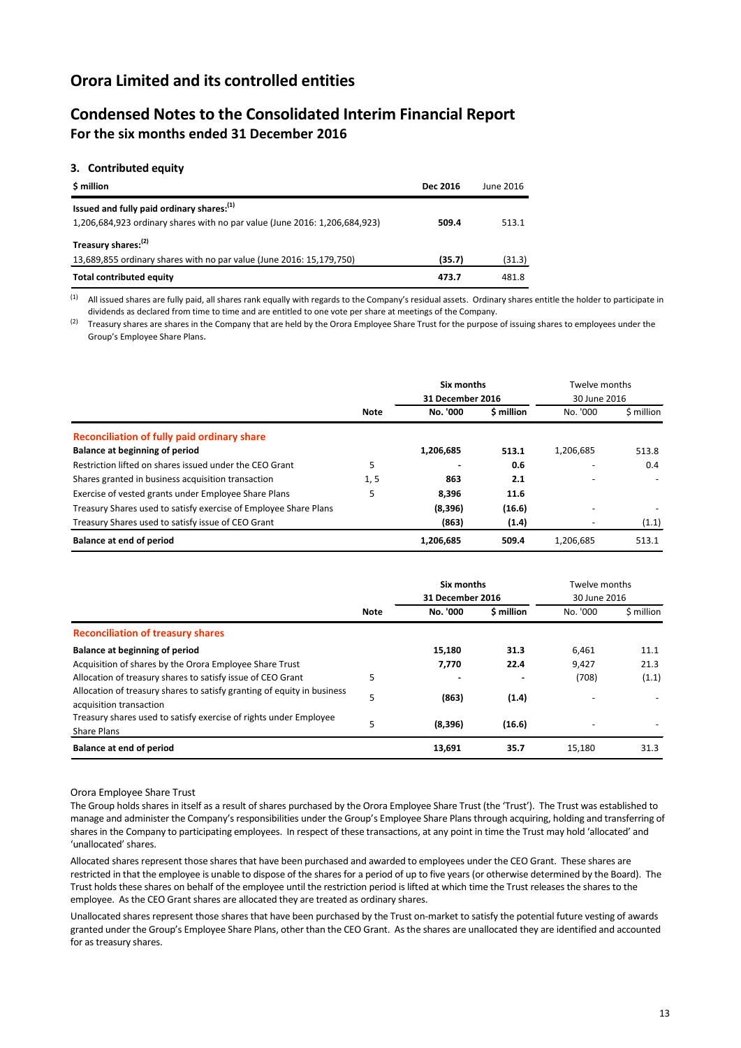### **Condensed Notes to the Consolidated Interim Financial Report For the six months ended 31 December 2016**

### **3. Contributed equity**

| \$ million                                                                                                               | <b>Dec 2016</b> | June 2016 |
|--------------------------------------------------------------------------------------------------------------------------|-----------------|-----------|
| Issued and fully paid ordinary shares: (1)<br>1,206,684,923 ordinary shares with no par value (June 2016: 1,206,684,923) | 509.4           | 513.1     |
| Treasury shares: <sup>(2)</sup><br>13,689,855 ordinary shares with no par value (June 2016: 15,179,750)                  | (35.7)          | (31.3)    |
| <b>Total contributed equity</b>                                                                                          | 473.7           | 481.8     |

<sup>(1)</sup> All issued shares are fully paid, all shares rank equally with regards to the Company's residual assets. Ordinary shares entitle the holder to participate in dividends as declared from time to time and are entitled to one vote per share at meetings of the Company.

<sup>(2)</sup> Treasury shares are shares in the Company that are held by the Orora Employee Share Trust for the purpose of issuing shares to employees under the Group's Employee Share Plans.

|                                                                  |             | Six months<br>31 December 2016 |            | Twelve months<br>30 June 2016 |            |
|------------------------------------------------------------------|-------------|--------------------------------|------------|-------------------------------|------------|
|                                                                  | <b>Note</b> | No. '000                       | \$ million | No. '000                      | \$ million |
| Reconciliation of fully paid ordinary share                      |             |                                |            |                               |            |
| Balance at beginning of period                                   |             | 1,206,685                      | 513.1      | 1,206,685                     | 513.8      |
| Restriction lifted on shares issued under the CEO Grant          | 5           |                                | 0.6        |                               | 0.4        |
| Shares granted in business acquisition transaction               | 1, 5        | 863                            | 2.1        |                               |            |
| Exercise of vested grants under Employee Share Plans             | 5           | 8.396                          | 11.6       |                               |            |
| Treasury Shares used to satisfy exercise of Employee Share Plans |             | (8,396)                        | (16.6)     |                               |            |
| Treasury Shares used to satisfy issue of CEO Grant               |             | (863)                          | (1.4)      | $\overline{\phantom{a}}$      | (1.1)      |
| <b>Balance at end of period</b>                                  |             | 1,206,685                      | 509.4      | 1,206,685                     | 513.1      |

|                                                                                                    |             | Six months<br>31 December 2016 |            | Twelve months<br>30 June 2016 |            |
|----------------------------------------------------------------------------------------------------|-------------|--------------------------------|------------|-------------------------------|------------|
|                                                                                                    | <b>Note</b> | No. '000                       | \$ million | No. '000                      | \$ million |
| <b>Reconciliation of treasury shares</b>                                                           |             |                                |            |                               |            |
| Balance at beginning of period                                                                     |             | 15,180                         | 31.3       | 6,461                         | 11.1       |
| Acquisition of shares by the Orora Employee Share Trust                                            |             | 7.770                          | 22.4       | 9,427                         | 21.3       |
| Allocation of treasury shares to satisfy issue of CEO Grant                                        | 5           |                                |            | (708)                         | (1.1)      |
| Allocation of treasury shares to satisfy granting of equity in business<br>acquisition transaction | 5           | (863)                          | (1.4)      |                               |            |
| Treasury shares used to satisfy exercise of rights under Employee<br><b>Share Plans</b>            | 5           | (8,396)                        | (16.6)     |                               |            |
| <b>Balance at end of period</b>                                                                    |             | 13,691                         | 35.7       | 15.180                        | 31.3       |

Orora Employee Share Trust

The Group holds shares in itself as a result of shares purchased by the Orora Employee Share Trust (the 'Trust'). The Trust was established to manage and administer the Company's responsibilities under the Group's Employee Share Plans through acquiring, holding and transferring of shares in the Company to participating employees. In respect of these transactions, at any point in time the Trust may hold 'allocated' and 'unallocated' shares.

Allocated shares represent those shares that have been purchased and awarded to employees under the CEO Grant. These shares are restricted in that the employee is unable to dispose of the shares for a period of up to five years (or otherwise determined by the Board). The Trust holds these shares on behalf of the employee until the restriction period is lifted at which time the Trust releases the shares to the employee. As the CEO Grant shares are allocated they are treated as ordinary shares.

Unallocated shares represent those shares that have been purchased by the Trust on-market to satisfy the potential future vesting of awards granted under the Group's Employee Share Plans, other than the CEO Grant. As the shares are unallocated they are identified and accounted for as treasury shares.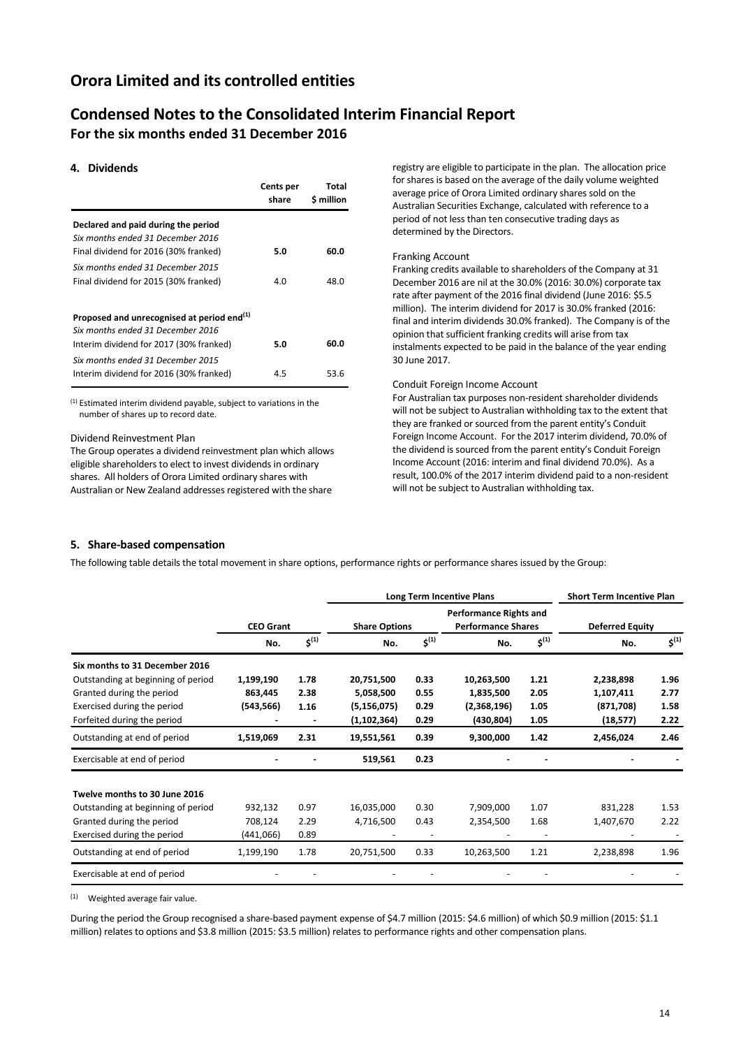### **Condensed Notes to the Consolidated Interim Financial Report For the six months ended 31 December 2016**

### **4. Dividends**

|                                                                                             | Cents per<br>share | Total<br>\$ million |
|---------------------------------------------------------------------------------------------|--------------------|---------------------|
| Declared and paid during the period                                                         |                    |                     |
| Six months ended 31 December 2016<br>Final dividend for 2016 (30% franked)                  | 5.0                | 60.0                |
| Six months ended 31 December 2015<br>Final dividend for 2015 (30% franked)                  | 4.0                | 48.0                |
|                                                                                             |                    |                     |
| Proposed and unrecognised at period end <sup>(1)</sup><br>Six months ended 31 December 2016 |                    |                     |
| Interim dividend for 2017 (30% franked)                                                     | 5.0                | 60.0                |
| Six months ended 31 December 2015<br>Interim dividend for 2016 (30% franked)                | 4.5                | 53.6                |

(1) Estimated interim dividend payable, subject to variations in the number of shares up to record date.

Dividend Reinvestment Plan

The Group operates a dividend reinvestment plan which allows eligible shareholders to elect to invest dividends in ordinary shares. All holders of Orora Limited ordinary shares with Australian or New Zealand addresses registered with the share

registry are eligible to participate in the plan. The allocation price for shares is based on the average of the daily volume weighted average price of Orora Limited ordinary shares sold on the Australian Securities Exchange, calculated with reference to a period of not less than ten consecutive trading days as determined by the Directors.

#### Franking Account

Franking credits available to shareholders of the Company at 31 December 2016 are nil at the 30.0% (2016: 30.0%) corporate tax rate after payment of the 2016 final dividend (June 2016: \$5.5 million). The interim dividend for 2017 is 30.0% franked (2016: final and interim dividends 30.0% franked). The Company is of the opinion that sufficient franking credits will arise from tax instalments expected to be paid in the balance of the year ending 30 June 2017.

#### Conduit Foreign Income Account

For Australian tax purposes non-resident shareholder dividends will not be subject to Australian withholding tax to the extent that they are franked or sourced from the parent entity's Conduit Foreign Income Account. For the 2017 interim dividend, 70.0% of the dividend is sourced from the parent entity's Conduit Foreign Income Account (2016: interim and final dividend 70.0%). As a result, 100.0% of the 2017 interim dividend paid to a non-resident will not be subject to Australian withholding tax.

#### **5. Share-based compensation**

The following table details the total movement in share options, performance rights or performance shares issued by the Group:

|                                    |                  |           | Long Term Incentive Plans                                                          |           |             |                        | <b>Short Term Incentive Plan</b> |           |
|------------------------------------|------------------|-----------|------------------------------------------------------------------------------------|-----------|-------------|------------------------|----------------------------------|-----------|
|                                    | <b>CEO Grant</b> |           | <b>Performance Rights and</b><br><b>Performance Shares</b><br><b>Share Options</b> |           |             | <b>Deferred Equity</b> |                                  |           |
|                                    | No.              | $5^{(1)}$ | No.                                                                                | $5^{(1)}$ | No.         | $5^{(1)}$              | No.                              | $5^{(1)}$ |
| Six months to 31 December 2016     |                  |           |                                                                                    |           |             |                        |                                  |           |
| Outstanding at beginning of period | 1,199,190        | 1.78      | 20,751,500                                                                         | 0.33      | 10,263,500  | 1.21                   | 2,238,898                        | 1.96      |
| Granted during the period          | 863,445          | 2.38      | 5,058,500                                                                          | 0.55      | 1,835,500   | 2.05                   | 1,107,411                        | 2.77      |
| Exercised during the period        | (543, 566)       | 1.16      | (5, 156, 075)                                                                      | 0.29      | (2,368,196) | 1.05                   | (871, 708)                       | 1.58      |
| Forfeited during the period        |                  |           | (1, 102, 364)                                                                      | 0.29      | (430, 804)  | 1.05                   | (18, 577)                        | 2.22      |
| Outstanding at end of period       | 1,519,069        | 2.31      | 19,551,561                                                                         | 0.39      | 9,300,000   | 1.42                   | 2,456,024                        | 2.46      |
| Exercisable at end of period       |                  |           | 519,561                                                                            | 0.23      |             |                        |                                  |           |
| Twelve months to 30 June 2016      |                  |           |                                                                                    |           |             |                        |                                  |           |
| Outstanding at beginning of period | 932,132          | 0.97      | 16,035,000                                                                         | 0.30      | 7,909,000   | 1.07                   | 831,228                          | 1.53      |
| Granted during the period          | 708,124          | 2.29      | 4,716,500                                                                          | 0.43      | 2,354,500   | 1.68                   | 1,407,670                        | 2.22      |
| Exercised during the period        | (441,066)        | 0.89      |                                                                                    |           |             |                        |                                  |           |
| Outstanding at end of period       | 1,199,190        | 1.78      | 20,751,500                                                                         | 0.33      | 10,263,500  | 1.21                   | 2,238,898                        | 1.96      |
| Exercisable at end of period       |                  |           |                                                                                    |           |             |                        |                                  |           |

 $(1)$  Weighted average fair value.

During the period the Group recognised a share-based payment expense of \$4.7 million (2015: \$4.6 million) of which \$0.9 million (2015: \$1.1 million) relates to options and \$3.8 million (2015: \$3.5 million) relates to performance rights and other compensation plans.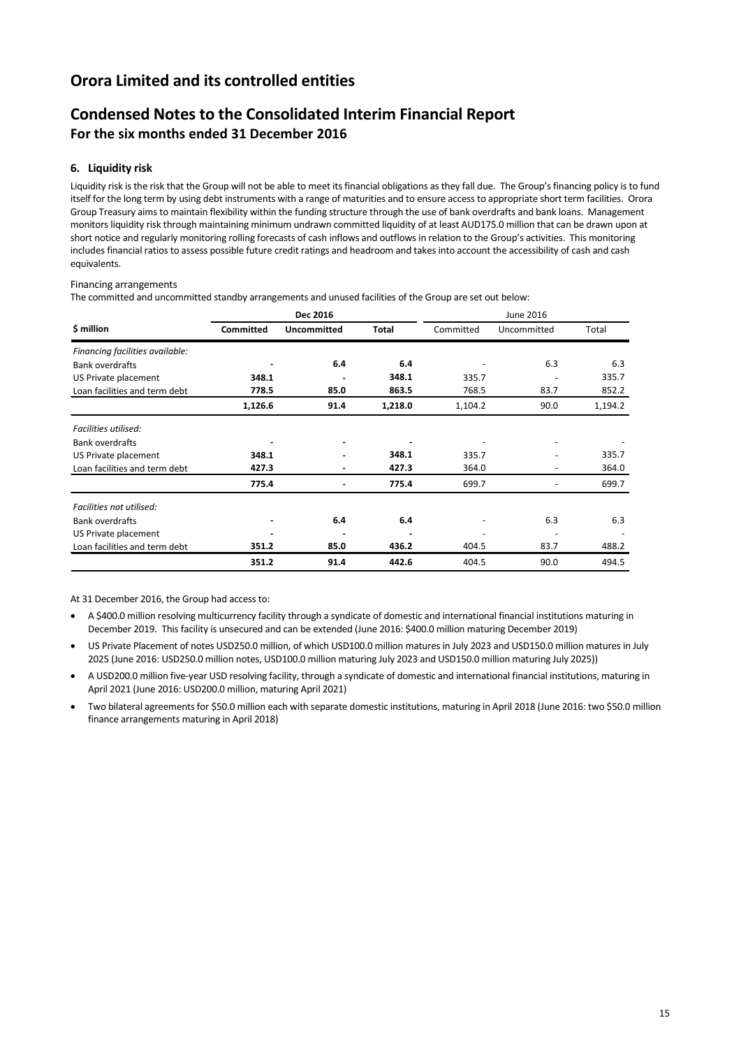# **Condensed Notes to the Consolidated Interim Financial Report For the six months ended 31 December 2016**

### **6. Liquidity risk**

Liquidity risk is the risk that the Group will not be able to meet its financial obligations as they fall due. The Group's financing policy is to fund itself for the long term by using debt instruments with a range of maturities and to ensure access to appropriate short term facilities. Orora Group Treasury aims to maintain flexibility within the funding structure through the use of bank overdrafts and bank loans. Management monitors liquidity risk through maintaining minimum undrawn committed liquidity of at least AUD175.0 million that can be drawn upon at short notice and regularly monitoring rolling forecasts of cash inflows and outflows in relation to the Group's activities. This monitoring includes financial ratios to assess possible future credit ratings and headroom and takes into account the accessibility of cash and cash equivalents.

### Financing arrangements

The committed and uncommitted standby arrangements and unused facilities of the Group are set out below:

|                                 | Dec 2016         |                    | June 2016    |           |             |         |  |
|---------------------------------|------------------|--------------------|--------------|-----------|-------------|---------|--|
| \$ million                      | <b>Committed</b> | <b>Uncommitted</b> | <b>Total</b> | Committed | Uncommitted | Total   |  |
| Financing facilities available: |                  |                    |              |           |             |         |  |
| <b>Bank overdrafts</b>          |                  | 6.4                | 6.4          |           | 6.3         | 6.3     |  |
| US Private placement            | 348.1            |                    | 348.1        | 335.7     |             | 335.7   |  |
| Loan facilities and term debt   | 778.5            | 85.0               | 863.5        | 768.5     | 83.7        | 852.2   |  |
|                                 | 1,126.6          | 91.4               | 1,218.0      | 1,104.2   | 90.0        | 1,194.2 |  |
| Facilities utilised:            |                  |                    |              |           |             |         |  |
| <b>Bank overdrafts</b>          |                  |                    |              |           |             |         |  |
| US Private placement            | 348.1            |                    | 348.1        | 335.7     |             | 335.7   |  |
| Loan facilities and term debt   | 427.3            |                    | 427.3        | 364.0     |             | 364.0   |  |
|                                 | 775.4            | $\overline{a}$     | 775.4        | 699.7     |             | 699.7   |  |
| Facilities not utilised:        |                  |                    |              |           |             |         |  |
| <b>Bank overdrafts</b>          |                  | 6.4                | 6.4          |           | 6.3         | 6.3     |  |
| US Private placement            |                  |                    |              |           |             |         |  |
| Loan facilities and term debt   | 351.2            | 85.0               | 436.2        | 404.5     | 83.7        | 488.2   |  |
|                                 | 351.2            | 91.4               | 442.6        | 404.5     | 90.0        | 494.5   |  |

At 31 December 2016, the Group had access to:

- A \$400.0 million resolving multicurrency facility through a syndicate of domestic and international financial institutions maturing in December 2019. This facility is unsecured and can be extended (June 2016: \$400.0 million maturing December 2019)
- US Private Placement of notes USD250.0 million, of which USD100.0 million matures in July 2023 and USD150.0 million matures in July 2025 (June 2016: USD250.0 million notes, USD100.0 million maturing July 2023 and USD150.0 million maturing July 2025))
- A USD200.0 million five-year USD resolving facility, through a syndicate of domestic and international financial institutions, maturing in April 2021 (June 2016: USD200.0 million, maturing April 2021)
- Two bilateral agreements for \$50.0 million each with separate domestic institutions, maturing in April 2018 (June 2016: two \$50.0 million finance arrangements maturing in April 2018)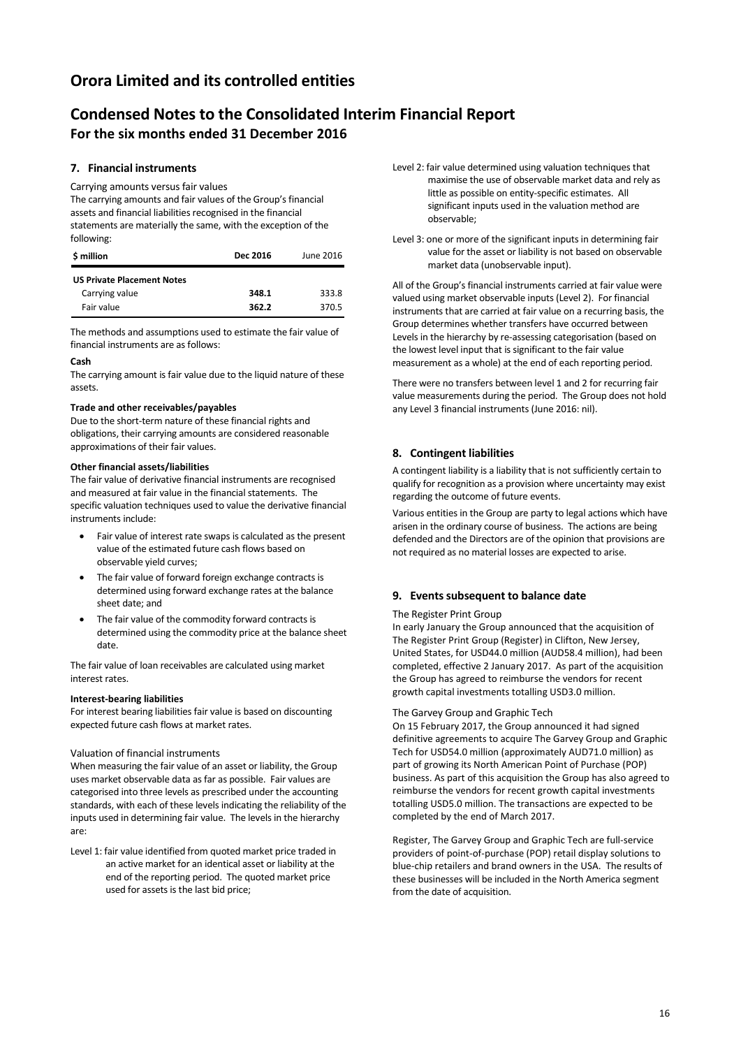# **Condensed Notes to the Consolidated Interim Financial Report For the six months ended 31 December 2016**

### **7. Financial instruments**

Carrying amounts versus fair values

The carrying amounts and fair values of the Group's financial assets and financial liabilities recognised in the financial statements are materially the same, with the exception of the following:

| \$ million                        | Dec 2016 | June 2016 |
|-----------------------------------|----------|-----------|
| <b>US Private Placement Notes</b> |          |           |
| Carrying value                    | 348.1    | 333.8     |
| Fair value                        | 362.2    | 370.5     |

The methods and assumptions used to estimate the fair value of financial instruments are as follows:

### **Cash**

The carrying amount is fair value due to the liquid nature of these assets.

### **Trade and other receivables/payables**

Due to the short-term nature of these financial rights and obligations, their carrying amounts are considered reasonable approximations of their fair values.

### **Other financial assets/liabilities**

The fair value of derivative financial instruments are recognised and measured at fair value in the financial statements. The specific valuation techniques used to value the derivative financial instruments include:

- Fair value of interest rate swaps is calculated as the present value of the estimated future cash flows based on observable yield curves;
- The fair value of forward foreign exchange contracts is determined using forward exchange rates at the balance sheet date; and
- The fair value of the commodity forward contracts is determined using the commodity price at the balance sheet date.

The fair value of loan receivables are calculated using market interest rates.

### **Interest-bearing liabilities**

For interest bearing liabilities fair value is based on discounting expected future cash flows at market rates.

### Valuation of financial instruments

When measuring the fair value of an asset or liability, the Group uses market observable data as far as possible. Fair values are categorised into three levels as prescribed under the accounting standards, with each of these levels indicating the reliability of the inputs used in determining fair value. The levels in the hierarchy are:

Level 1: fair value identified from quoted market price traded in an active market for an identical asset or liability at the end of the reporting period. The quoted market price used for assets is the last bid price;

- Level 2: fair value determined using valuation techniques that maximise the use of observable market data and rely as little as possible on entity-specific estimates. All significant inputs used in the valuation method are observable;
- Level 3: one or more of the significant inputs in determining fair value for the asset or liability is not based on observable market data (unobservable input).

All of the Group's financial instruments carried at fair value were valued using market observable inputs (Level 2). For financial instruments that are carried at fair value on a recurring basis, the Group determines whether transfers have occurred between Levels in the hierarchy by re-assessing categorisation (based on the lowest level input that is significant to the fair value measurement as a whole) at the end of each reporting period.

There were no transfers between level 1 and 2 for recurring fair value measurements during the period. The Group does not hold any Level 3 financial instruments (June 2016: nil).

### **8. Contingent liabilities**

A contingent liability is a liability that is not sufficiently certain to qualify for recognition as a provision where uncertainty may exist regarding the outcome of future events.

Various entities in the Group are party to legal actions which have arisen in the ordinary course of business. The actions are being defended and the Directors are of the opinion that provisions are not required as no material losses are expected to arise.

### **9. Events subsequent to balance date**

### The Register Print Group

In early January the Group announced that the acquisition of The Register Print Group (Register) in Clifton, New Jersey, United States, for USD44.0 million (AUD58.4 million), had been completed, effective 2 January 2017. As part of the acquisition the Group has agreed to reimburse the vendors for recent growth capital investments totalling USD3.0 million.

#### The Garvey Group and Graphic Tech

On 15 February 2017, the Group announced it had signed definitive agreements to acquire The Garvey Group and Graphic Tech for USD54.0 million (approximately AUD71.0 million) as part of growing its North American Point of Purchase (POP) business. As part of this acquisition the Group has also agreed to reimburse the vendors for recent growth capital investments totalling USD5.0 million. The transactions are expected to be completed by the end of March 2017.

Register, The Garvey Group and Graphic Tech are full-service providers of point-of-purchase (POP) retail display solutions to blue-chip retailers and brand owners in the USA. The results of these businesses will be included in the North America segment from the date of acquisition.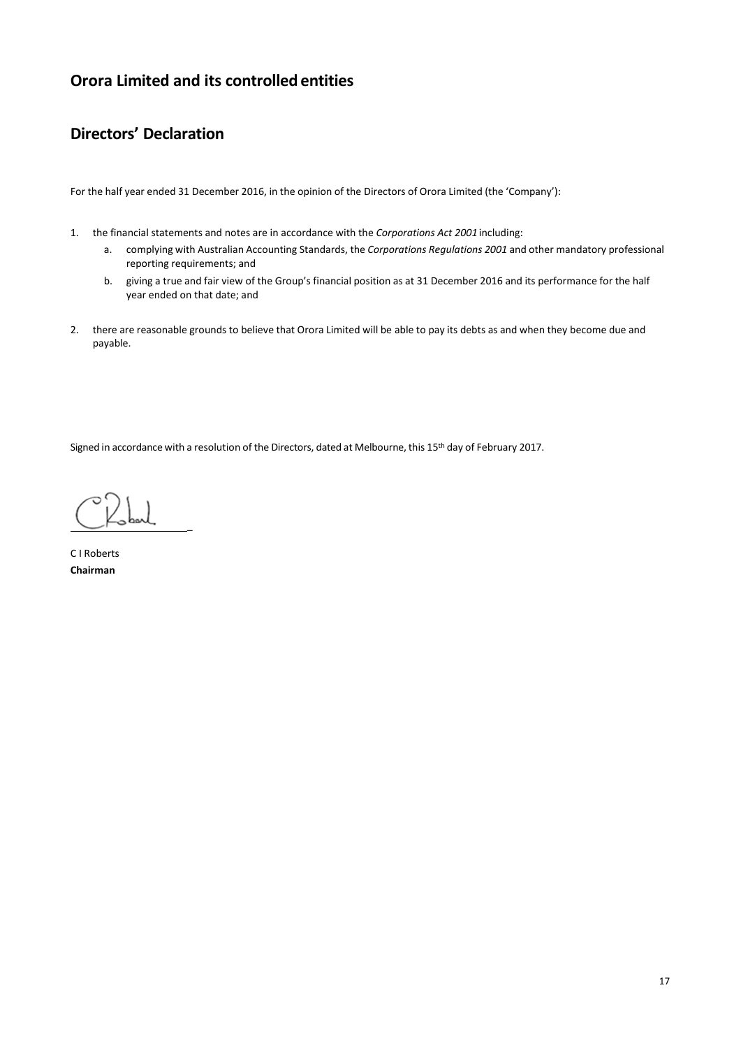# **Directors' Declaration**

For the half year ended 31 December 2016, in the opinion of the Directors of Orora Limited (the 'Company'):

- 1. the financial statements and notes are in accordance with the *Corporations Act 2001* including:
	- a. complying with Australian Accounting Standards, the *Corporations Regulations 2001* and other mandatory professional reporting requirements; and
	- b. giving a true and fair view of the Group's financial position as at 31 December 2016 and its performance for the half year ended on that date; and
- 2. there are reasonable grounds to believe that Orora Limited will be able to pay its debts as and when they become due and payable.

Signed in accordance with a resolution of the Directors, dated at Melbourne, this 15th day of February 2017.

 $C_{\text{1}}$ 

C I Roberts **Chairman**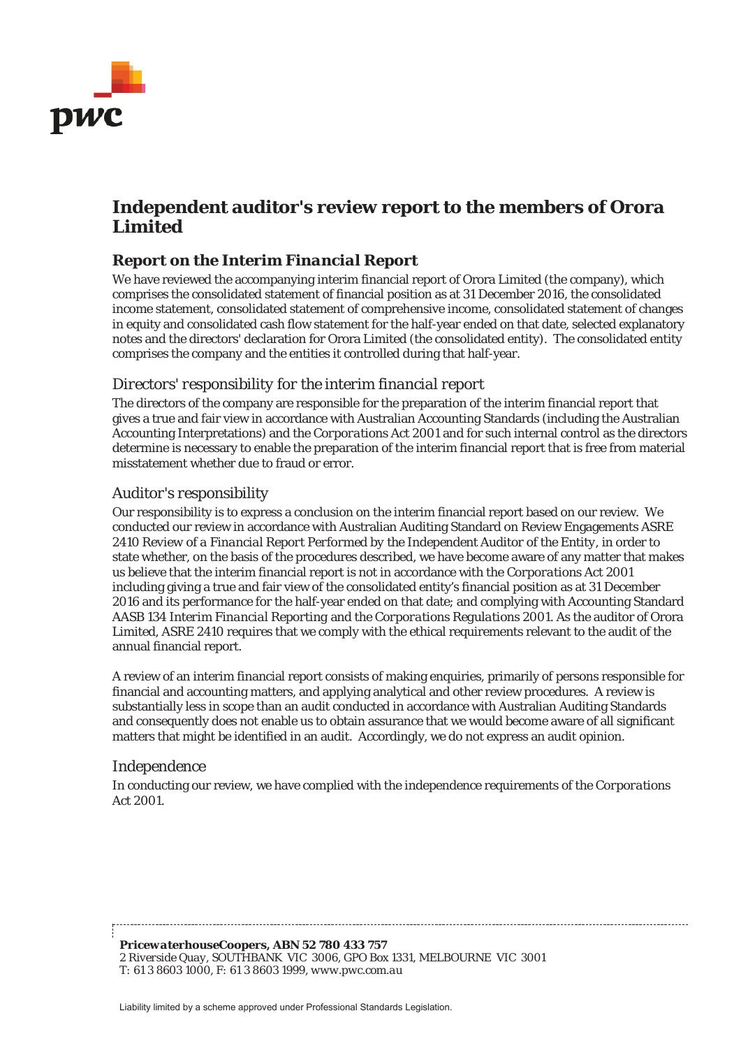

# **Independent auditor's review report to the members of Orora Limited**

# *Report on the Interim Financial Report*

We have reviewed the accompanying interim financial report of Orora Limited (the company), which comprises the consolidated statement of financial position as at 31 December 2016, the consolidated income statement, consolidated statement of comprehensive income, consolidated statement of changes in equity and consolidated cash flow statement for the half-year ended on that date, selected explanatory notes and the directors' declaration for Orora Limited (the consolidated entity). The consolidated entity comprises the company and the entities it controlled during that half-year.

### *Directors' responsibility for the interim financial report*

The directors of the company are responsible for the preparation of the interim financial report that gives a true and fair view in accordance with Australian Accounting Standards (including the Australian Accounting Interpretations) and the *Corporations Act 2001* and for such internal control as the directors determine is necessary to enable the preparation of the interim financial report that is free from material misstatement whether due to fraud or error.

### *Auditor's responsibility*

Our responsibility is to express a conclusion on the interim financial report based on our review. We conducted our review in accordance with Australian Auditing Standard on Review Engagements ASRE 2410 *Review of a Financial Report Performed by the Independent Auditor of the Entity*, in order to state whether, on the basis of the procedures described, we have become aware of any matter that makes us believe that the interim financial report is not in accordance with the *Corporations Act 2001* including giving a true and fair view of the consolidated entity's financial position as at 31 December 2016 and its performance for the half-year ended on that date; and complying with Accounting Standard AASB 134 *Interim Financial Reporting* and the *Corporations Regulations 2001*. As the auditor of Orora Limited, ASRE 2410 requires that we comply with the ethical requirements relevant to the audit of the annual financial report.

A review of an interim financial report consists of making enquiries, primarily of persons responsible for financial and accounting matters, and applying analytical and other review procedures. A review is substantially less in scope than an audit conducted in accordance with Australian Auditing Standards and consequently does not enable us to obtain assurance that we would become aware of all significant matters that might be identified in an audit. Accordingly, we do not express an audit opinion.

### *Independence*

In conducting our review, we have complied with the independence requirements of the *Corporations Act 2001*.

*PricewaterhouseCoopers, ABN 52 780 433 757 2 Riverside Quay, SOUTHBANK VIC 3006, GPO Box 1331, MELBOURNE VIC 3001 T: 61 3 8603 1000, F: 61 3 8603 1999, www.pwc.com.au*

Liability limited by a scheme approved under Professional Standards Legislation.